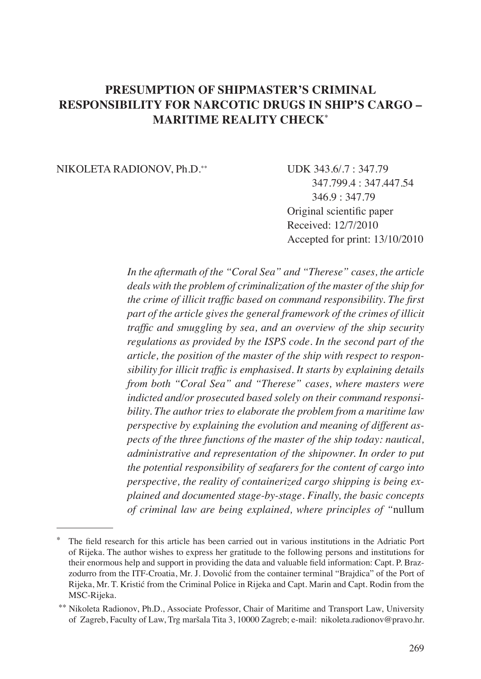# **PRESUMPTION OF SHIPMASTER'S CRIMINAL RESPONSIBILITY FOR NARCOTIC DRUGS IN SHIP'S CARGO – MARITIME REALITY CHECK\***

NIKOLETA RADIONOV, Ph.D.\*\* UDK 343.6/.7 : 347.79

 347.799.4 : 347.447.54 346.9 : 347.79 Original scientific paper Received: 12/7/2010 Accepted for print: 13/10/2010

*In the aftermath of the "Coral Sea" and "Therese" cases, the article deals with the problem of criminalization of the master of the ship for the crime of illicit traffic based on command responsibility. The first part of the article gives the general framework of the crimes of illicit traffic and smuggling by sea, and an overview of the ship security regulations as provided by the ISPS code. In the second part of the article, the position of the master of the ship with respect to responsibility for illicit traffic is emphasised. It starts by explaining details from both "Coral Sea" and "Therese" cases, where masters were indicted and/or prosecuted based solely on their command responsibility. The author tries to elaborate the problem from a maritime law perspective by explaining the evolution and meaning of different aspects of the three functions of the master of the ship today: nautical, administrative and representation of the shipowner. In order to put the potential responsibility of seafarers for the content of cargo into perspective, the reality of containerized cargo shipping is being explained and documented stage-by-stage. Finally, the basic concepts of criminal law are being explained, where principles of "*nullum

The field research for this article has been carried out in various institutions in the Adriatic Port of Rijeka. The author wishes to express her gratitude to the following persons and institutions for their enormous help and support in providing the data and valuable field information: Capt. P. Brazzodurro from the ITF-Croatia, Mr. J. Dovolić from the container terminal "Brajdica" of the Port of Rijeka, Mr. T. Kristić from the Criminal Police in Rijeka and Capt. Marin and Capt. Rodin from the MSC-Rijeka.

<sup>\*\*</sup> Nikoleta Radionov, Ph.D., Associate Professor, Chair of Maritime and Transport Law, University of Zagreb, Faculty of Law, Trg maršala Tita 3, 10000 Zagreb; e-mail: nikoleta.radionov@pravo.hr.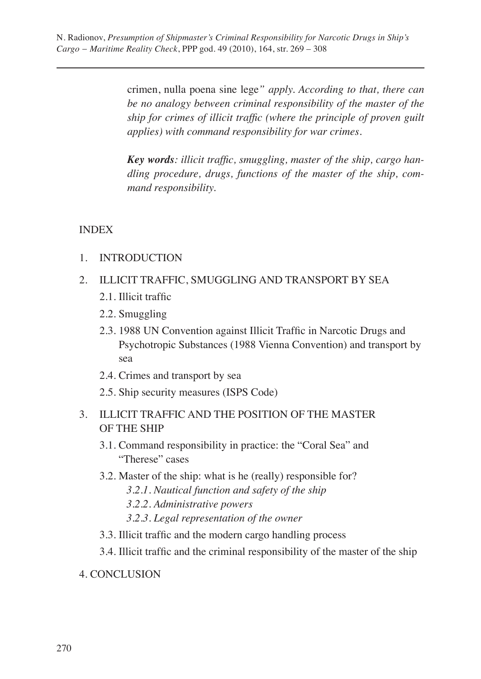crimen, nulla poena sine lege*" apply. According to that, there can be no analogy between criminal responsibility of the master of the ship for crimes of illicit traffic (where the principle of proven guilt applies) with command responsibility for war crimes.*

*Key words: illicit traffic, smuggling, master of the ship, cargo handling procedure, drugs, functions of the master of the ship, command responsibility.*

### INDEX

- 1. INTRODUCTION
- 2. ILLICIT TRAFFIC, SMUGGLING AND TRANSPORT BY SEA
	- 2.1. Illicit traffic
	- 2.2. Smuggling
	- 2.3. 1988 UN Convention against Illicit Traffic in Narcotic Drugs and Psychotropic Substances (1988 Vienna Convention) and transport by sea
	- 2.4. Crimes and transport by sea
	- 2.5. Ship security measures (ISPS Code)

## 3. ILLICIT TRAFFIC AND THE POSITION OF THE MASTER OF THE SHIP

- 3.1. Command responsibility in practice: the "Coral Sea" and "Therese" cases
- 3.2. Master of the ship: what is he (really) responsible for?
	- *3.2.1. Nautical function and safety of the ship*
	- *3.2.2. Administrative powers*
	- *3.2.3. Legal representation of the owner*
- 3.3. Illicit traffic and the modern cargo handling process
- 3.4. Illicit traffic and the criminal responsibility of the master of the ship
- 4. CONCLUSION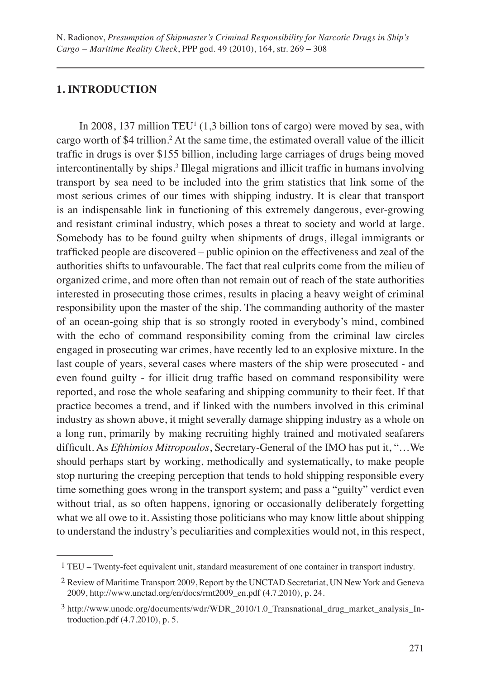#### **1. INTRODUCTION**

In 2008, 137 million TEU<sup>1</sup> (1,3 billion tons of cargo) were moved by sea, with cargo worth of \$4 trillion.<sup>2</sup> At the same time, the estimated overall value of the illicit traffic in drugs is over \$155 billion, including large carriages of drugs being moved intercontinentally by ships.<sup>3</sup> Illegal migrations and illicit traffic in humans involving transport by sea need to be included into the grim statistics that link some of the most serious crimes of our times with shipping industry. It is clear that transport is an indispensable link in functioning of this extremely dangerous, ever-growing and resistant criminal industry, which poses a threat to society and world at large. Somebody has to be found guilty when shipments of drugs, illegal immigrants or trafficked people are discovered – public opinion on the effectiveness and zeal of the authorities shifts to unfavourable. The fact that real culprits come from the milieu of organized crime, and more often than not remain out of reach of the state authorities interested in prosecuting those crimes, results in placing a heavy weight of criminal responsibility upon the master of the ship. The commanding authority of the master of an ocean-going ship that is so strongly rooted in everybody's mind, combined with the echo of command responsibility coming from the criminal law circles engaged in prosecuting war crimes, have recently led to an explosive mixture. In the last couple of years, several cases where masters of the ship were prosecuted - and even found guilty - for illicit drug traffic based on command responsibility were reported, and rose the whole seafaring and shipping community to their feet. If that practice becomes a trend, and if linked with the numbers involved in this criminal industry as shown above, it might severally damage shipping industry as a whole on a long run, primarily by making recruiting highly trained and motivated seafarers difficult. As *Efthimios Mitropoulos*, Secretary-General of the IMO has put it, "…We should perhaps start by working, methodically and systematically, to make people stop nurturing the creeping perception that tends to hold shipping responsible every time something goes wrong in the transport system; and pass a "guilty" verdict even without trial, as so often happens, ignoring or occasionally deliberately forgetting what we all owe to it. Assisting those politicians who may know little about shipping to understand the industry's peculiarities and complexities would not, in this respect,

 <sup>1</sup> TEU – Twenty-feet equivalent unit, standard measurement of one container in transport industry.

 <sup>2</sup> Review of Maritime Transport 2009, Report by the UNCTAD Secretariat, UN New York and Geneva 2009, http://www.unctad.org/en/docs/rmt2009\_en.pdf (4.7.2010), p. 24.

 <sup>3</sup> http://www.unodc.org/documents/wdr/WDR\_2010/1.0\_Transnational\_drug\_market\_analysis\_Introduction.pdf (4.7.2010), p. 5.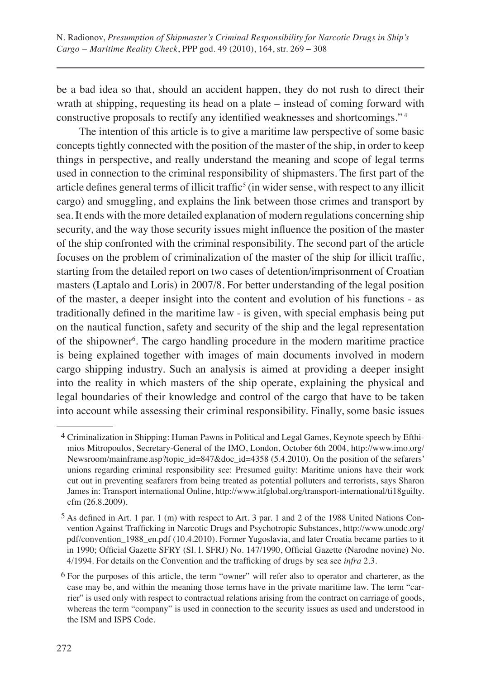be a bad idea so that, should an accident happen, they do not rush to direct their wrath at shipping, requesting its head on a plate – instead of coming forward with constructive proposals to rectify any identified weaknesses and shortcomings." 4

The intention of this article is to give a maritime law perspective of some basic concepts tightly connected with the position of the master of the ship, in order to keep things in perspective, and really understand the meaning and scope of legal terms used in connection to the criminal responsibility of shipmasters. The first part of the article defines general terms of illicit traffic $5$  (in wider sense, with respect to any illicit cargo) and smuggling, and explains the link between those crimes and transport by sea. It ends with the more detailed explanation of modern regulations concerning ship security, and the way those security issues might influence the position of the master of the ship confronted with the criminal responsibility. The second part of the article focuses on the problem of criminalization of the master of the ship for illicit traffic, starting from the detailed report on two cases of detention/imprisonment of Croatian masters (Laptalo and Loris) in 2007/8. For better understanding of the legal position of the master, a deeper insight into the content and evolution of his functions - as traditionally defined in the maritime law - is given, with special emphasis being put on the nautical function, safety and security of the ship and the legal representation of the shipowner<sup>6</sup>. The cargo handling procedure in the modern maritime practice is being explained together with images of main documents involved in modern cargo shipping industry. Such an analysis is aimed at providing a deeper insight into the reality in which masters of the ship operate, explaining the physical and legal boundaries of their knowledge and control of the cargo that have to be taken into account while assessing their criminal responsibility. Finally, some basic issues

 <sup>4</sup> Criminalization in Shipping: Human Pawns in Political and Legal Games, Keynote speech by Efthimios Mitropoulos, Secretary-General of the IMO, London, October 6th 2004, http://www.imo.org/ Newsroom/mainframe.asp?topic\_id=847&doc\_id=4358 (5.4.2010). On the position of the sefarers' unions regarding criminal responsibility see: Presumed guilty: Maritime unions have their work cut out in preventing seafarers from being treated as potential polluters and terrorists, says Sharon James in: Transport international Online, http://www.itfglobal.org/transport-international/ti18guilty. cfm (26.8.2009).

 <sup>5</sup> As defined in Art. 1 par. 1 (m) with respect to Art. 3 par. 1 and 2 of the 1988 United Nations Convention Against Trafficking in Narcotic Drugs and Psychotropic Substances, http://www.unodc.org/ pdf/convention\_1988\_en.pdf (10.4.2010). Former Yugoslavia, and later Croatia became parties to it in 1990; Official Gazette SFRY (Sl. l. SFRJ) No. 147/1990, Official Gazette (Narodne novine) No. 4/1994. For details on the Convention and the trafficking of drugs by sea see *infra* 2.3.

 <sup>6</sup> For the purposes of this article, the term "owner" will refer also to operator and charterer, as the case may be, and within the meaning those terms have in the private maritime law. The term "carrier" is used only with respect to contractual relations arising from the contract on carriage of goods, whereas the term "company" is used in connection to the security issues as used and understood in the ISM and ISPS Code.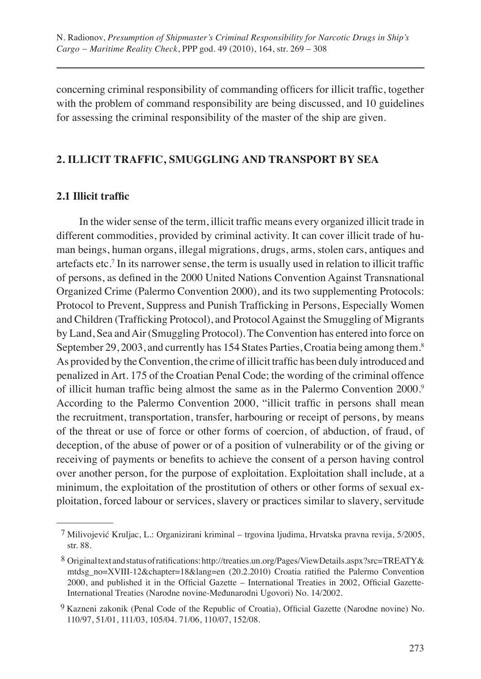concerning criminal responsibility of commanding officers for illicit traffic, together with the problem of command responsibility are being discussed, and 10 guidelines for assessing the criminal responsibility of the master of the ship are given.

## **2. ILLICIT TRAFFIC, SMUGGLING AND TRANSPORT BY SEA**

### **2.1 Illicit traffic**

In the wider sense of the term, illicit traffic means every organized illicit trade in different commodities, provided by criminal activity. It can cover illicit trade of human beings, human organs, illegal migrations, drugs, arms, stolen cars, antiques and artefacts etc.7 In its narrower sense, the term is usually used in relation to illicit traffic of persons, as defined in the 2000 United Nations Convention Against Transnational Organized Crime (Palermo Convention 2000), and its two supplementing Protocols: Protocol to Prevent, Suppress and Punish Trafficking in Persons, Especially Women and Children (Trafficking Protocol), and Protocol Against the Smuggling of Migrants by Land, Sea and Air (Smuggling Protocol). The Convention has entered into force on September 29, 2003, and currently has 154 States Parties, Croatia being among them.<sup>8</sup> As provided by the Convention, the crime of illicit traffic has been duly introduced and penalized in Art. 175 of the Croatian Penal Code; the wording of the criminal offence of illicit human traffic being almost the same as in the Palermo Convention 2000.<sup>9</sup> According to the Palermo Convention 2000, "illicit traffic in persons shall mean the recruitment, transportation, transfer, harbouring or receipt of persons, by means of the threat or use of force or other forms of coercion, of abduction, of fraud, of deception, of the abuse of power or of a position of vulnerability or of the giving or receiving of payments or benefits to achieve the consent of a person having control over another person, for the purpose of exploitation. Exploitation shall include, at a minimum, the exploitation of the prostitution of others or other forms of sexual exploitation, forced labour or services, slavery or practices similar to slavery, servitude

 <sup>7</sup> Milivojević Kruljac, L.: Organizirani kriminal – trgovina ljudima, Hrvatska pravna revija, 5/2005, str. 88.

 <sup>8</sup> Original text and status of ratifications: http://treaties.un.org/Pages/ViewDetails.aspx?src=TREATY& mtdsg\_no=XVIII-12&chapter=18&lang=en (20.2.2010) Croatia ratified the Palermo Convention 2000, and published it in the Official Gazette – International Treaties in 2002, Official Gazette-International Treaties (Narodne novine-Međunarodni Ugovori) No. 14/2002.

 <sup>9</sup> Kazneni zakonik (Penal Code of the Republic of Croatia), Official Gazette (Narodne novine) No. 110/97, 51/01, 111/03, 105/04. 71/06, 110/07, 152/08.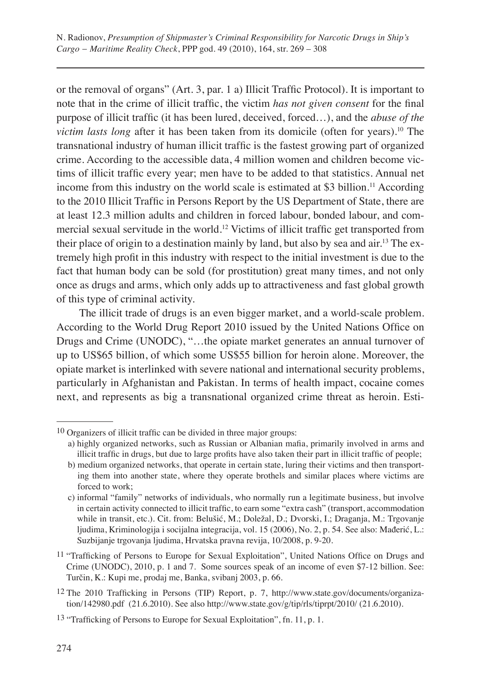or the removal of organs" (Art. 3, par. 1 a) Illicit Traffic Protocol). It is important to note that in the crime of illicit traffic, the victim *has not given consent* for the final purpose of illicit traffic (it has been lured, deceived, forced…), and the *abuse of the victim lasts long* after it has been taken from its domicile (often for years).<sup>10</sup> The transnational industry of human illicit traffic is the fastest growing part of organized crime. According to the accessible data, 4 million women and children become victims of illicit traffic every year; men have to be added to that statistics. Annual net income from this industry on the world scale is estimated at \$3 billion.<sup>11</sup> According to the 2010 Illicit Traffic in Persons Report by the US Department of State, there are at least 12.3 million adults and children in forced labour, bonded labour, and commercial sexual servitude in the world.12 Victims of illicit traffic get transported from their place of origin to a destination mainly by land, but also by sea and air.13 The extremely high profit in this industry with respect to the initial investment is due to the fact that human body can be sold (for prostitution) great many times, and not only once as drugs and arms, which only adds up to attractiveness and fast global growth of this type of criminal activity.

The illicit trade of drugs is an even bigger market, and a world-scale problem. According to the World Drug Report 2010 issued by the United Nations Office on Drugs and Crime (UNODC), "…the opiate market generates an annual turnover of up to US\$65 billion, of which some US\$55 billion for heroin alone. Moreover, the opiate market is interlinked with severe national and international security problems, particularly in Afghanistan and Pakistan. In terms of health impact, cocaine comes next, and represents as big a transnational organized crime threat as heroin. Esti-

<sup>10</sup> Organizers of illicit traffic can be divided in three major groups:

a) highly organized networks, such as Russian or Albanian mafia, primarily involved in arms and illicit traffic in drugs, but due to large profits have also taken their part in illicit traffic of people;

b) medium organized networks, that operate in certain state, luring their victims and then transporting them into another state, where they operate brothels and similar places where victims are forced to work;

c) informal "family" networks of individuals, who normally run a legitimate business, but involve in certain activity connected to illicit traffic, to earn some "extra cash" (transport, accommodation while in transit, etc.). Cit. from: Belušić, M.; Doležal, D.; Dvorski, I.; Draganja, M.: Trgovanje ljudima, Kriminologija i socijalna integracija, vol. 15 (2006), No. 2, p. 54. See also: Mađerić, L.: Suzbijanje trgovanja ljudima, Hrvatska pravna revija, 10/2008, p. 9-20.

<sup>11</sup> "Trafficking of Persons to Europe for Sexual Exploitation", United Nations Office on Drugs and Crime (UNODC), 2010, p. 1 and 7. Some sources speak of an income of even \$7-12 billion. See: Turčin, K.: Kupi me, prodaj me, Banka, svibanj 2003, p. 66.

<sup>12</sup> The 2010 Trafficking in Persons (TIP) Report, p. 7, http://www.state.gov/documents/organization/142980.pdf (21.6.2010). See also http://www.state.gov/g/tip/rls/tiprpt/2010/ (21.6.2010).

<sup>13 &</sup>quot;Trafficking of Persons to Europe for Sexual Exploitation", fn. 11, p. 1.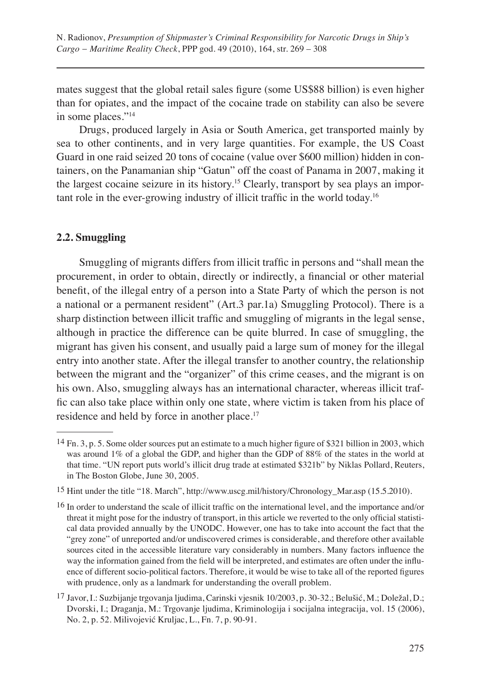mates suggest that the global retail sales figure (some US\$88 billion) is even higher than for opiates, and the impact of the cocaine trade on stability can also be severe in some places."14

Drugs, produced largely in Asia or South America, get transported mainly by sea to other continents, and in very large quantities. For example, the US Coast Guard in one raid seized 20 tons of cocaine (value over \$600 million) hidden in containers, on the Panamanian ship "Gatun" off the coast of Panama in 2007, making it the largest cocaine seizure in its history.15 Clearly, transport by sea plays an important role in the ever-growing industry of illicit traffic in the world today.16

### **2.2. Smuggling**

Smuggling of migrants differs from illicit traffic in persons and "shall mean the procurement, in order to obtain, directly or indirectly, a financial or other material benefit, of the illegal entry of a person into a State Party of which the person is not a national or a permanent resident" (Art.3 par.1a) Smuggling Protocol). There is a sharp distinction between illicit traffic and smuggling of migrants in the legal sense, although in practice the difference can be quite blurred. In case of smuggling, the migrant has given his consent, and usually paid a large sum of money for the illegal entry into another state. After the illegal transfer to another country, the relationship between the migrant and the "organizer" of this crime ceases, and the migrant is on his own. Also, smuggling always has an international character, whereas illicit traffic can also take place within only one state, where victim is taken from his place of residence and held by force in another place.<sup>17</sup>

<sup>14</sup> Fn. 3, p. 5. Some older sources put an estimate to a much higher figure of \$321 billion in 2003, which was around 1% of a global the GDP, and higher than the GDP of 88% of the states in the world at that time. "UN report puts world's illicit drug trade at estimated \$321b" by Niklas Pollard, Reuters, in The Boston Globe, June 30, 2005.

<sup>15</sup> Hint under the title "18. March", http://www.uscg.mil/history/Chronology\_Mar.asp (15.5.2010).

<sup>16</sup> In order to understand the scale of illicit traffic on the international level, and the importance and/or threat it might pose for the industry of transport, in this article we reverted to the only official statistical data provided annually by the UNODC. However, one has to take into account the fact that the "grey zone" of unreported and/or undiscovered crimes is considerable, and therefore other available sources cited in the accessible literature vary considerably in numbers. Many factors influence the way the information gained from the field will be interpreted, and estimates are often under the influence of different socio-political factors. Therefore, it would be wise to take all of the reported figures with prudence, only as a landmark for understanding the overall problem.

<sup>17</sup> Javor, I.: Suzbijanje trgovanja ljudima, Carinski vjesnik 10/2003, p. 30-32.; Belušić, M.; Doležal, D.; Dvorski, I.; Draganja, M.: Trgovanje ljudima, Kriminologija i socijalna integracija, vol. 15 (2006), No. 2, p. 52. Milivojević Kruljac, L., Fn. 7, p. 90-91.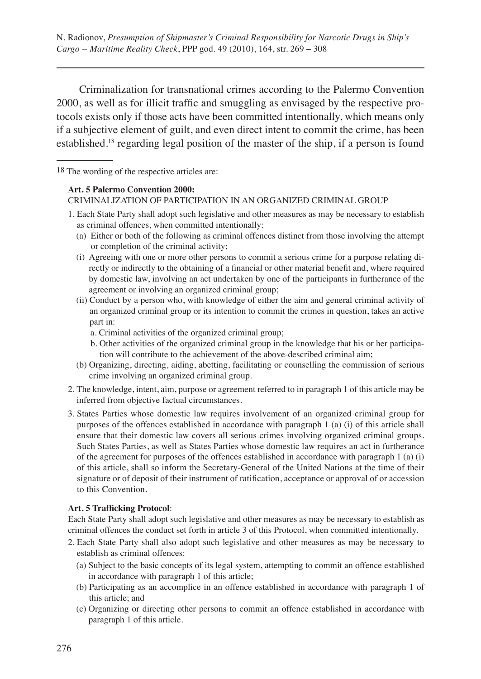Criminalization for transnational crimes according to the Palermo Convention 2000, as well as for illicit traffic and smuggling as envisaged by the respective protocols exists only if those acts have been committed intentionally, which means only if a subjective element of guilt, and even direct intent to commit the crime, has been established.18 regarding legal position of the master of the ship, if a person is found

18 The wording of the respective articles are:

#### **Art. 5 Palermo Convention 2000:**

CRIMINALIZATION OF PARTICIPATION IN AN ORGANIZED CRIMINAL GROUP

- 1. Each State Party shall adopt such legislative and other measures as may be necessary to establish as criminal offences, when committed intentionally:
	- (a) Either or both of the following as criminal offences distinct from those involving the attempt or completion of the criminal activity;
	- (i) Agreeing with one or more other persons to commit a serious crime for a purpose relating directly or indirectly to the obtaining of a financial or other material benefit and, where required by domestic law, involving an act undertaken by one of the participants in furtherance of the agreement or involving an organized criminal group;
	- (ii) Conduct by a person who, with knowledge of either the aim and general criminal activity of an organized criminal group or its intention to commit the crimes in question, takes an active part in:
		- a. Criminal activities of the organized criminal group;
		- b. Other activities of the organized criminal group in the knowledge that his or her participation will contribute to the achievement of the above-described criminal aim;
	- (b) Organizing, directing, aiding, abetting, facilitating or counselling the commission of serious crime involving an organized criminal group.
- 2. The knowledge, intent, aim, purpose or agreement referred to in paragraph 1 of this article may be inferred from objective factual circumstances.
- 3. States Parties whose domestic law requires involvement of an organized criminal group for purposes of the offences established in accordance with paragraph 1 (a) (i) of this article shall ensure that their domestic law covers all serious crimes involving organized criminal groups. Such States Parties, as well as States Parties whose domestic law requires an act in furtherance of the agreement for purposes of the offences established in accordance with paragraph 1 (a) (i) of this article, shall so inform the Secretary-General of the United Nations at the time of their signature or of deposit of their instrument of ratification, acceptance or approval of or accession to this Convention.

#### **Art. 5 Trafficking Protocol**:

Each State Party shall adopt such legislative and other measures as may be necessary to establish as criminal offences the conduct set forth in article 3 of this Protocol, when committed intentionally.

- 2. Each State Party shall also adopt such legislative and other measures as may be necessary to establish as criminal offences:
	- (a) Subject to the basic concepts of its legal system, attempting to commit an offence established in accordance with paragraph 1 of this article;
	- (b) Participating as an accomplice in an offence established in accordance with paragraph 1 of this article; and
	- (c) Organizing or directing other persons to commit an offence established in accordance with paragraph 1 of this article.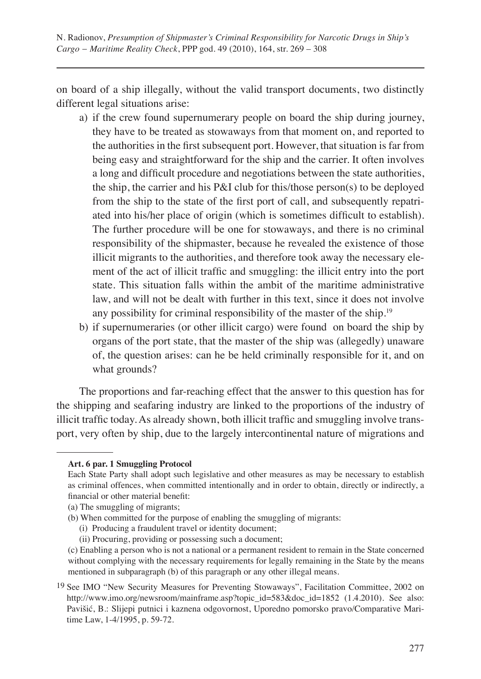on board of a ship illegally, without the valid transport documents, two distinctly different legal situations arise:

- a) if the crew found supernumerary people on board the ship during journey, they have to be treated as stowaways from that moment on, and reported to the authorities in the first subsequent port. However, that situation is far from being easy and straightforward for the ship and the carrier. It often involves a long and difficult procedure and negotiations between the state authorities, the ship, the carrier and his P&I club for this/those person(s) to be deployed from the ship to the state of the first port of call, and subsequently repatriated into his/her place of origin (which is sometimes difficult to establish). The further procedure will be one for stowaways, and there is no criminal responsibility of the shipmaster, because he revealed the existence of those illicit migrants to the authorities, and therefore took away the necessary element of the act of illicit traffic and smuggling: the illicit entry into the port state. This situation falls within the ambit of the maritime administrative law, and will not be dealt with further in this text, since it does not involve any possibility for criminal responsibility of the master of the ship.19
- b) if supernumeraries (or other illicit cargo) were found on board the ship by organs of the port state, that the master of the ship was (allegedly) unaware of, the question arises: can he be held criminally responsible for it, and on what grounds?

The proportions and far-reaching effect that the answer to this question has for the shipping and seafaring industry are linked to the proportions of the industry of illicit traffic today. As already shown, both illicit traffic and smuggling involve transport, very often by ship, due to the largely intercontinental nature of migrations and

#### **Art. 6 par. 1 Smuggling Protocol**

- (a) The smuggling of migrants;
- (b) When committed for the purpose of enabling the smuggling of migrants:
	- (i) Producing a fraudulent travel or identity document;
	- (ii) Procuring, providing or possessing such a document;
- (c) Enabling a person who is not a national or a permanent resident to remain in the State concerned without complying with the necessary requirements for legally remaining in the State by the means mentioned in subparagraph (b) of this paragraph or any other illegal means.
- 19 See IMO "New Security Measures for Preventing Stowaways", Facilitation Committee, 2002 on http://www.imo.org/newsroom/mainframe.asp?topic\_id=583&doc\_id=1852 (1.4.2010). See also: Pavišić, B.: Slijepi putnici i kaznena odgovornost, Uporedno pomorsko pravo/Comparative Maritime Law, 1-4/1995, p. 59-72.

Each State Party shall adopt such legislative and other measures as may be necessary to establish as criminal offences, when committed intentionally and in order to obtain, directly or indirectly, a financial or other material benefit: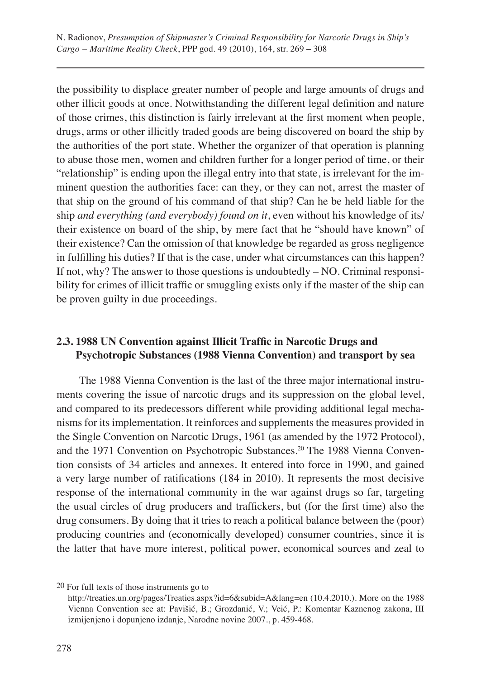the possibility to displace greater number of people and large amounts of drugs and other illicit goods at once. Notwithstanding the different legal definition and nature of those crimes, this distinction is fairly irrelevant at the first moment when people, drugs, arms or other illicitly traded goods are being discovered on board the ship by the authorities of the port state. Whether the organizer of that operation is planning to abuse those men, women and children further for a longer period of time, or their "relationship" is ending upon the illegal entry into that state, is irrelevant for the imminent question the authorities face: can they, or they can not, arrest the master of that ship on the ground of his command of that ship? Can he be held liable for the ship *and everything (and everybody) found on it*, even without his knowledge of its/ their existence on board of the ship, by mere fact that he "should have known" of their existence? Can the omission of that knowledge be regarded as gross negligence in fulfilling his duties? If that is the case, under what circumstances can this happen? If not, why? The answer to those questions is undoubtedly – NO. Criminal responsibility for crimes of illicit traffic or smuggling exists only if the master of the ship can be proven guilty in due proceedings.

# **2.3. 1988 UN Convention against Illicit Traffic in Narcotic Drugs and Psychotropic Substances (1988 Vienna Convention) and transport by sea**

The 1988 Vienna Convention is the last of the three major international instruments covering the issue of narcotic drugs and its suppression on the global level, and compared to its predecessors different while providing additional legal mechanisms for its implementation. It reinforces and supplements the measures provided in the Single Convention on Narcotic Drugs, 1961 (as amended by the 1972 Protocol), and the 1971 Convention on Psychotropic Substances.<sup>20</sup> The 1988 Vienna Convention consists of 34 articles and annexes. It entered into force in 1990, and gained a very large number of ratifications (184 in 2010). It represents the most decisive response of the international community in the war against drugs so far, targeting the usual circles of drug producers and traffickers, but (for the first time) also the drug consumers. By doing that it tries to reach a political balance between the (poor) producing countries and (economically developed) consumer countries, since it is the latter that have more interest, political power, economical sources and zeal to

<sup>20</sup> For full texts of those instruments go to

http://treaties.un.org/pages/Treaties.aspx?id=6&subid=A&lang=en (10.4.2010.). More on the 1988 Vienna Convention see at: Pavišić, B.; Grozdanić, V.; Veić, P.: Komentar Kaznenog zakona, III izmijenjeno i dopunjeno izdanje, Narodne novine 2007., p. 459-468.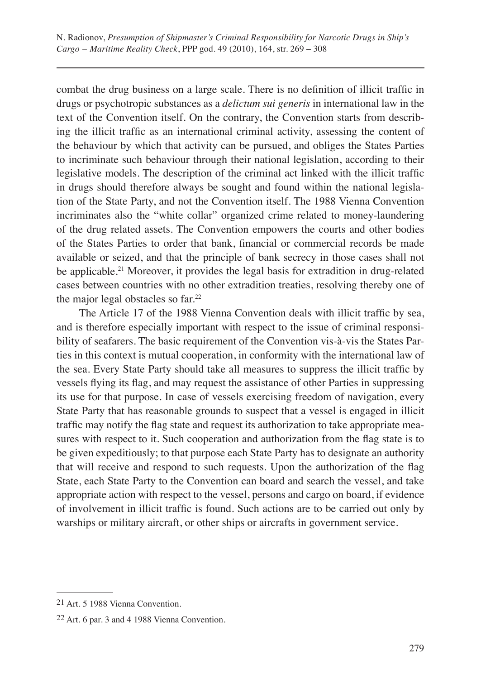combat the drug business on a large scale. There is no definition of illicit traffic in drugs or psychotropic substances as a *delictum sui generis* in international law in the text of the Convention itself. On the contrary, the Convention starts from describing the illicit traffic as an international criminal activity, assessing the content of the behaviour by which that activity can be pursued, and obliges the States Parties to incriminate such behaviour through their national legislation, according to their legislative models. The description of the criminal act linked with the illicit traffic in drugs should therefore always be sought and found within the national legislation of the State Party, and not the Convention itself. The 1988 Vienna Convention incriminates also the "white collar" organized crime related to money-laundering of the drug related assets. The Convention empowers the courts and other bodies of the States Parties to order that bank, financial or commercial records be made available or seized, and that the principle of bank secrecy in those cases shall not be applicable.<sup>21</sup> Moreover, it provides the legal basis for extradition in drug-related cases between countries with no other extradition treaties, resolving thereby one of the major legal obstacles so far.<sup>22</sup>

The Article 17 of the 1988 Vienna Convention deals with illicit traffic by sea, and is therefore especially important with respect to the issue of criminal responsibility of seafarers. The basic requirement of the Convention vis-à-vis the States Parties in this context is mutual cooperation, in conformity with the international law of the sea. Every State Party should take all measures to suppress the illicit traffic by vessels flying its flag, and may request the assistance of other Parties in suppressing its use for that purpose. In case of vessels exercising freedom of navigation, every State Party that has reasonable grounds to suspect that a vessel is engaged in illicit traffic may notify the flag state and request its authorization to take appropriate measures with respect to it. Such cooperation and authorization from the flag state is to be given expeditiously; to that purpose each State Party has to designate an authority that will receive and respond to such requests. Upon the authorization of the flag State, each State Party to the Convention can board and search the vessel, and take appropriate action with respect to the vessel, persons and cargo on board, if evidence of involvement in illicit traffic is found. Such actions are to be carried out only by warships or military aircraft, or other ships or aircrafts in government service.

<sup>21</sup> Art. 5 1988 Vienna Convention.

<sup>22</sup> Art. 6 par. 3 and 4 1988 Vienna Convention.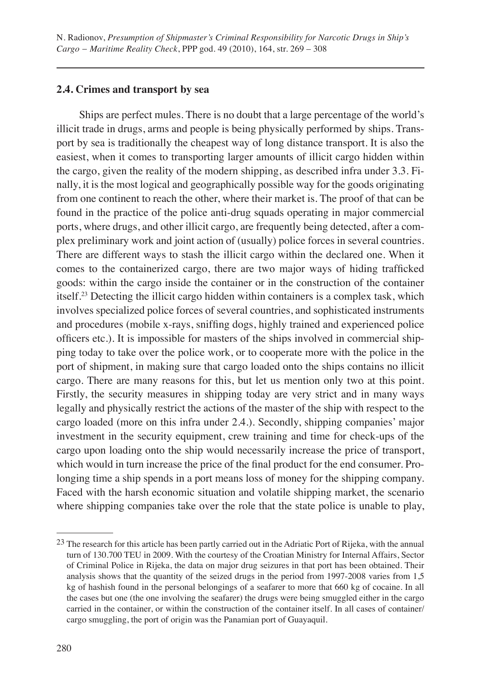### **2.4. Crimes and transport by sea**

Ships are perfect mules. There is no doubt that a large percentage of the world's illicit trade in drugs, arms and people is being physically performed by ships. Transport by sea is traditionally the cheapest way of long distance transport. It is also the easiest, when it comes to transporting larger amounts of illicit cargo hidden within the cargo, given the reality of the modern shipping, as described infra under 3.3. Finally, it is the most logical and geographically possible way for the goods originating from one continent to reach the other, where their market is. The proof of that can be found in the practice of the police anti-drug squads operating in major commercial ports, where drugs, and other illicit cargo, are frequently being detected, after a complex preliminary work and joint action of (usually) police forces in several countries. There are different ways to stash the illicit cargo within the declared one. When it comes to the containerized cargo, there are two major ways of hiding trafficked goods: within the cargo inside the container or in the construction of the container itself.23 Detecting the illicit cargo hidden within containers is a complex task, which involves specialized police forces of several countries, and sophisticated instruments and procedures (mobile x-rays, sniffing dogs, highly trained and experienced police officers etc.). It is impossible for masters of the ships involved in commercial shipping today to take over the police work, or to cooperate more with the police in the port of shipment, in making sure that cargo loaded onto the ships contains no illicit cargo. There are many reasons for this, but let us mention only two at this point. Firstly, the security measures in shipping today are very strict and in many ways legally and physically restrict the actions of the master of the ship with respect to the cargo loaded (more on this infra under 2.4.). Secondly, shipping companies' major investment in the security equipment, crew training and time for check-ups of the cargo upon loading onto the ship would necessarily increase the price of transport, which would in turn increase the price of the final product for the end consumer. Prolonging time a ship spends in a port means loss of money for the shipping company. Faced with the harsh economic situation and volatile shipping market, the scenario where shipping companies take over the role that the state police is unable to play,

<sup>23</sup> The research for this article has been partly carried out in the Adriatic Port of Rijeka, with the annual turn of 130.700 TEU in 2009. With the courtesy of the Croatian Ministry for Internal Affairs, Sector of Criminal Police in Rijeka, the data on major drug seizures in that port has been obtained. Their analysis shows that the quantity of the seized drugs in the period from 1997-2008 varies from 1,5 kg of hashish found in the personal belongings of a seafarer to more that 660 kg of cocaine. In all the cases but one (the one involving the seafarer) the drugs were being smuggled either in the cargo carried in the container, or within the construction of the container itself. In all cases of container/ cargo smuggling, the port of origin was the Panamian port of Guayaquil.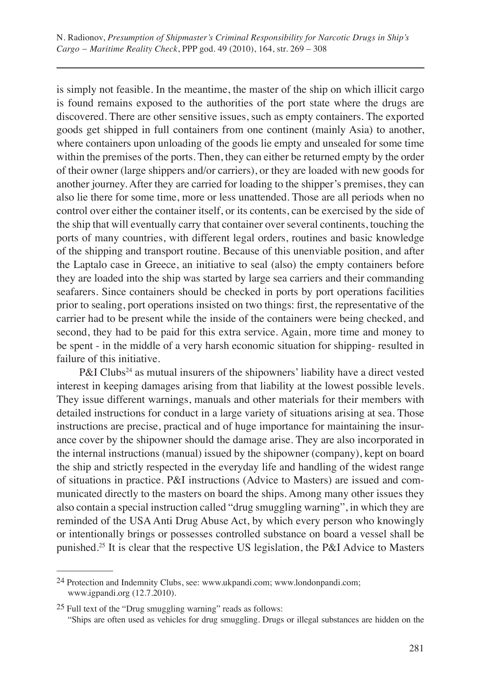is simply not feasible. In the meantime, the master of the ship on which illicit cargo is found remains exposed to the authorities of the port state where the drugs are discovered. There are other sensitive issues, such as empty containers. The exported goods get shipped in full containers from one continent (mainly Asia) to another, where containers upon unloading of the goods lie empty and unsealed for some time within the premises of the ports. Then, they can either be returned empty by the order of their owner (large shippers and/or carriers), or they are loaded with new goods for another journey. After they are carried for loading to the shipper's premises, they can also lie there for some time, more or less unattended. Those are all periods when no control over either the container itself, or its contents, can be exercised by the side of the ship that will eventually carry that container over several continents, touching the ports of many countries, with different legal orders, routines and basic knowledge of the shipping and transport routine. Because of this unenviable position, and after the Laptalo case in Greece, an initiative to seal (also) the empty containers before they are loaded into the ship was started by large sea carriers and their commanding seafarers. Since containers should be checked in ports by port operations facilities prior to sealing, port operations insisted on two things: first, the representative of the carrier had to be present while the inside of the containers were being checked, and second, they had to be paid for this extra service. Again, more time and money to be spent - in the middle of a very harsh economic situation for shipping- resulted in failure of this initiative.

P&I Clubs<sup>24</sup> as mutual insurers of the shipowners' liability have a direct vested interest in keeping damages arising from that liability at the lowest possible levels. They issue different warnings, manuals and other materials for their members with detailed instructions for conduct in a large variety of situations arising at sea. Those instructions are precise, practical and of huge importance for maintaining the insurance cover by the shipowner should the damage arise. They are also incorporated in the internal instructions (manual) issued by the shipowner (company), kept on board the ship and strictly respected in the everyday life and handling of the widest range of situations in practice. P&I instructions (Advice to Masters) are issued and communicated directly to the masters on board the ships. Among many other issues they also contain a special instruction called "drug smuggling warning", in which they are reminded of the USA Anti Drug Abuse Act, by which every person who knowingly or intentionally brings or possesses controlled substance on board a vessel shall be punished.25 It is clear that the respective US legislation, the P&I Advice to Masters

<sup>24</sup> Protection and Indemnity Clubs, see: www.ukpandi.com; www.londonpandi.com; www.igpandi.org (12.7.2010).

<sup>25</sup> Full text of the "Drug smuggling warning" reads as follows: "Ships are often used as vehicles for drug smuggling. Drugs or illegal substances are hidden on the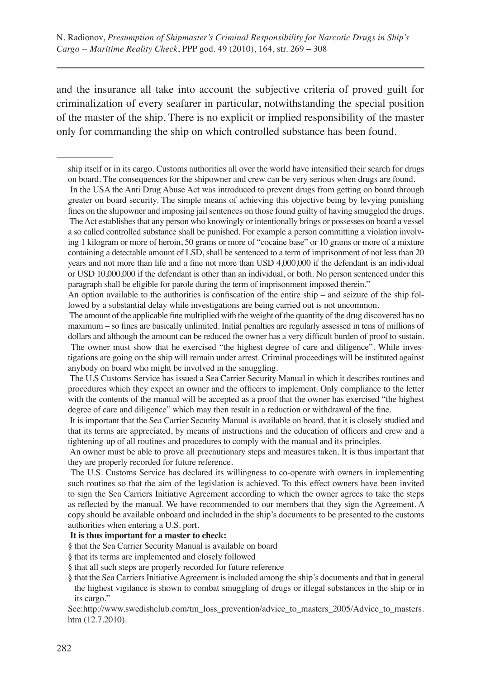and the insurance all take into account the subjective criteria of proved guilt for criminalization of every seafarer in particular, notwithstanding the special position of the master of the ship. There is no explicit or implied responsibility of the master only for commanding the ship on which controlled substance has been found.

or USD 10,000,000 if the defendant is other than an individual, or both. No person sentenced under this paragraph shall be eligible for parole during the term of imprisonment imposed therein." An option available to the authorities is confiscation of the entire ship – and seizure of the ship fol-

lowed by a substantial delay while investigations are being carried out is not uncommon.

 The amount of the applicable fine multiplied with the weight of the quantity of the drug discovered has no maximum – so fines are basically unlimited. Initial penalties are regularly assessed in tens of millions of dollars and although the amount can be reduced the owner has a very difficult burden of proof to sustain. The owner must show that he exercised "the highest degree of care and diligence". While inves-

tigations are going on the ship will remain under arrest. Criminal proceedings will be instituted against anybody on board who might be involved in the smuggling.

The U.S Customs Service has issued a Sea Carrier Security Manual in which it describes routines and procedures which they expect an owner and the officers to implement. Only compliance to the letter with the contents of the manual will be accepted as a proof that the owner has exercised "the highest degree of care and diligence" which may then result in a reduction or withdrawal of the fine.

It is important that the Sea Carrier Security Manual is available on board, that it is closely studied and that its terms are appreciated, by means of instructions and the education of officers and crew and a tightening-up of all routines and procedures to comply with the manual and its principles.

An owner must be able to prove all precautionary steps and measures taken. It is thus important that they are properly recorded for future reference.

The U.S. Customs Service has declared its willingness to co-operate with owners in implementing such routines so that the aim of the legislation is achieved. To this effect owners have been invited to sign the Sea Carriers Initiative Agreement according to which the owner agrees to take the steps as reflected by the manual. We have recommended to our members that they sign the Agreement. A copy should be available onboard and included in the ship's documents to be presented to the customs authorities when entering a U.S. port.

#### **It is thus important for a master to check:**

§ that the Sea Carrier Security Manual is available on board

- § that its terms are implemented and closely followed
- § that all such steps are properly recorded for future reference
- § that the Sea Carriers Initiative Agreement is included among the ship's documents and that in general the highest vigilance is shown to combat smuggling of drugs or illegal substances in the ship or in its cargo."

See:http://www.swedishclub.com/tm\_loss\_prevention/advice\_to\_masters\_2005/Advice\_to\_masters. htm (12.7.2010).

ship itself or in its cargo. Customs authorities all over the world have intensified their search for drugs on board. The consequences for the shipowner and crew can be very serious when drugs are found.

In the USA the Anti Drug Abuse Act was introduced to prevent drugs from getting on board through greater on board security. The simple means of achieving this objective being by levying punishing fines on the shipowner and imposing jail sentences on those found guilty of having smuggled the drugs. The Act establishes that any person who knowingly or intentionally brings or possesses on board a vessel a so called controlled substance shall be punished. For example a person committing a violation involving 1 kilogram or more of heroin, 50 grams or more of "cocaine base" or 10 grams or more of a mixture containing a detectable amount of LSD, shall be sentenced to a term of imprisonment of not less than 20 years and not more than life and a fine not more than USD 4,000,000 if the defendant is an individual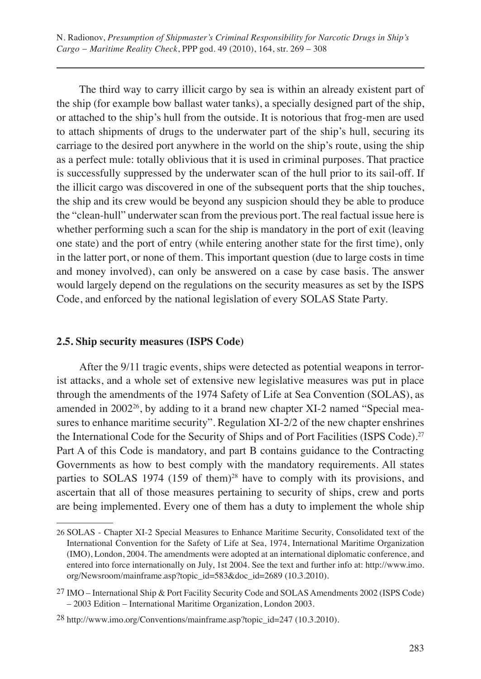The third way to carry illicit cargo by sea is within an already existent part of the ship (for example bow ballast water tanks), a specially designed part of the ship, or attached to the ship's hull from the outside. It is notorious that frog-men are used to attach shipments of drugs to the underwater part of the ship's hull, securing its carriage to the desired port anywhere in the world on the ship's route, using the ship as a perfect mule: totally oblivious that it is used in criminal purposes. That practice is successfully suppressed by the underwater scan of the hull prior to its sail-off. If the illicit cargo was discovered in one of the subsequent ports that the ship touches, the ship and its crew would be beyond any suspicion should they be able to produce the "clean-hull" underwater scan from the previous port. The real factual issue here is whether performing such a scan for the ship is mandatory in the port of exit (leaving one state) and the port of entry (while entering another state for the first time), only in the latter port, or none of them. This important question (due to large costs in time and money involved), can only be answered on a case by case basis. The answer would largely depend on the regulations on the security measures as set by the ISPS Code, and enforced by the national legislation of every SOLAS State Party.

#### **2.5. Ship security measures (ISPS Code)**

After the 9/11 tragic events, ships were detected as potential weapons in terrorist attacks, and a whole set of extensive new legislative measures was put in place through the amendments of the 1974 Safety of Life at Sea Convention (SOLAS), as amended in  $2002^{26}$ , by adding to it a brand new chapter XI-2 named "Special measures to enhance maritime security". Regulation XI-2/2 of the new chapter enshrines the International Code for the Security of Ships and of Port Facilities (ISPS Code).27 Part A of this Code is mandatory, and part B contains guidance to the Contracting Governments as how to best comply with the mandatory requirements. All states parties to SOLAS 1974 (159 of them)<sup>28</sup> have to comply with its provisions, and ascertain that all of those measures pertaining to security of ships, crew and ports are being implemented. Every one of them has a duty to implement the whole ship

<sup>26</sup> SOLAS - Chapter XI-2 Special Measures to Enhance Maritime Security, Consolidated text of the International Convention for the Safety of Life at Sea, 1974, International Maritime Organization (IMO), London, 2004. The amendments were adopted at an international diplomatic conference, and entered into force internationally on July, 1st 2004. See the text and further info at: http://www.imo. org/Newsroom/mainframe.asp?topic\_id=583&doc\_id=2689 (10.3.2010).

<sup>27</sup> IMO – International Ship & Port Facility Security Code and SOLAS Amendments 2002 (ISPS Code) – 2003 Edition – International Maritime Organization, London 2003.

<sup>28</sup> http://www.imo.org/Conventions/mainframe.asp?topic\_id=247 (10.3.2010).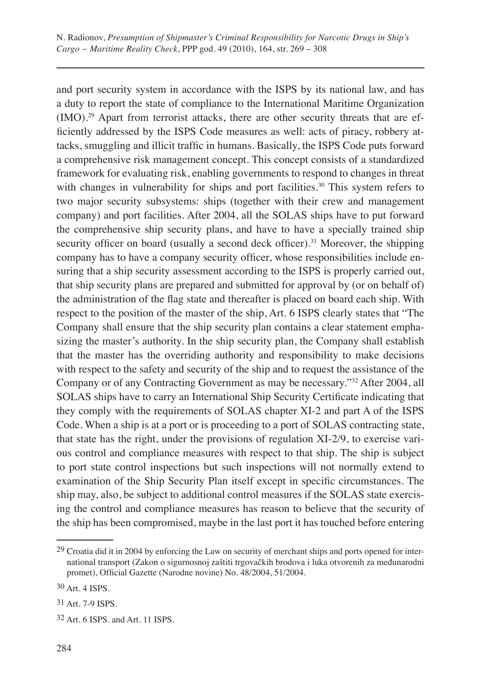and port security system in accordance with the ISPS by its national law, and has a duty to report the state of compliance to the International Maritime Organization (IMO).29 Apart from terrorist attacks, there are other security threats that are efficiently addressed by the ISPS Code measures as well: acts of piracy, robbery attacks, smuggling and illicit traffic in humans. Basically, the ISPS Code puts forward a comprehensive risk management concept. This concept consists of a standardized framework for evaluating risk, enabling governments to respond to changes in threat with changes in vulnerability for ships and port facilities.<sup>30</sup> This system refers to two major security subsystems: ships (together with their crew and management company) and port facilities. After 2004, all the SOLAS ships have to put forward the comprehensive ship security plans, and have to have a specially trained ship security officer on board (usually a second deck officer).<sup>31</sup> Moreover, the shipping company has to have a company security officer, whose responsibilities include ensuring that a ship security assessment according to the ISPS is properly carried out, that ship security plans are prepared and submitted for approval by (or on behalf of) the administration of the flag state and thereafter is placed on board each ship. With respect to the position of the master of the ship, Art. 6 ISPS clearly states that "The Company shall ensure that the ship security plan contains a clear statement emphasizing the master's authority. In the ship security plan, the Company shall establish that the master has the overriding authority and responsibility to make decisions with respect to the safety and security of the ship and to request the assistance of the Company or of any Contracting Government as may be necessary."32 After 2004, all SOLAS ships have to carry an International Ship Security Certificate indicating that they comply with the requirements of SOLAS chapter XI-2 and part A of the ISPS Code. When a ship is at a port or is proceeding to a port of SOLAS contracting state, that state has the right, under the provisions of regulation XI-2/9, to exercise various control and compliance measures with respect to that ship. The ship is subject to port state control inspections but such inspections will not normally extend to examination of the Ship Security Plan itself except in specific circumstances. The ship may, also, be subject to additional control measures if the SOLAS state exercising the control and compliance measures has reason to believe that the security of the ship has been compromised, maybe in the last port it has touched before entering

32 Art. 6 ISPS. and Art. 11 ISPS.

<sup>29</sup> Croatia did it in 2004 by enforcing the Law on security of merchant ships and ports opened for international transport (Zakon o sigurnosnoj zaštiti trgovačkih brodova i luka otvorenih za međunarodni promet), Official Gazette (Narodne novine) No. 48/2004, 51/2004.

<sup>30</sup> Art. 4 ISPS.

<sup>31</sup> Art. 7-9 ISPS.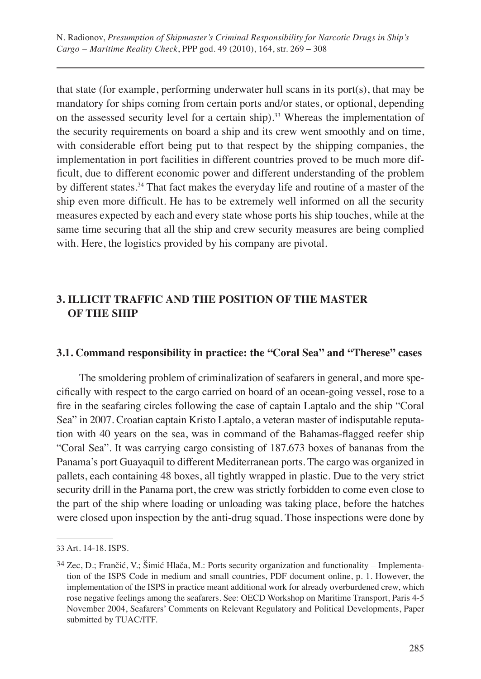that state (for example, performing underwater hull scans in its port(s), that may be mandatory for ships coming from certain ports and/or states, or optional, depending on the assessed security level for a certain ship).<sup>33</sup> Whereas the implementation of the security requirements on board a ship and its crew went smoothly and on time, with considerable effort being put to that respect by the shipping companies, the implementation in port facilities in different countries proved to be much more difficult, due to different economic power and different understanding of the problem by different states.<sup>34</sup> That fact makes the everyday life and routine of a master of the ship even more difficult. He has to be extremely well informed on all the security measures expected by each and every state whose ports his ship touches, while at the same time securing that all the ship and crew security measures are being complied with. Here, the logistics provided by his company are pivotal.

# **3. ILLICIT TRAFFIC AND THE POSITION OF THE MASTER OF THE SHIP**

#### **3.1. Command responsibility in practice: the "Coral Sea" and "Therese" cases**

The smoldering problem of criminalization of seafarers in general, and more specifically with respect to the cargo carried on board of an ocean-going vessel, rose to a fire in the seafaring circles following the case of captain Laptalo and the ship "Coral Sea" in 2007. Croatian captain Kristo Laptalo, a veteran master of indisputable reputation with 40 years on the sea, was in command of the Bahamas-flagged reefer ship "Coral Sea". It was carrying cargo consisting of 187.673 boxes of bananas from the Panama's port Guayaquil to different Mediterranean ports. The cargo was organized in pallets, each containing 48 boxes, all tightly wrapped in plastic. Due to the very strict security drill in the Panama port, the crew was strictly forbidden to come even close to the part of the ship where loading or unloading was taking place, before the hatches were closed upon inspection by the anti-drug squad. Those inspections were done by

<sup>33</sup> Art. 14-18. ISPS.

 $34$  Zec, D.; Frančić, V.; Šimić Hlača, M.: Ports security organization and functionality – Implementation of the ISPS Code in medium and small countries, PDF document online, p. 1. However, the implementation of the ISPS in practice meant additional work for already overburdened crew, which rose negative feelings among the seafarers. See: OECD Workshop on Maritime Transport, Paris 4-5 November 2004, Seafarers' Comments on Relevant Regulatory and Political Developments, Paper submitted by TUAC/ITF.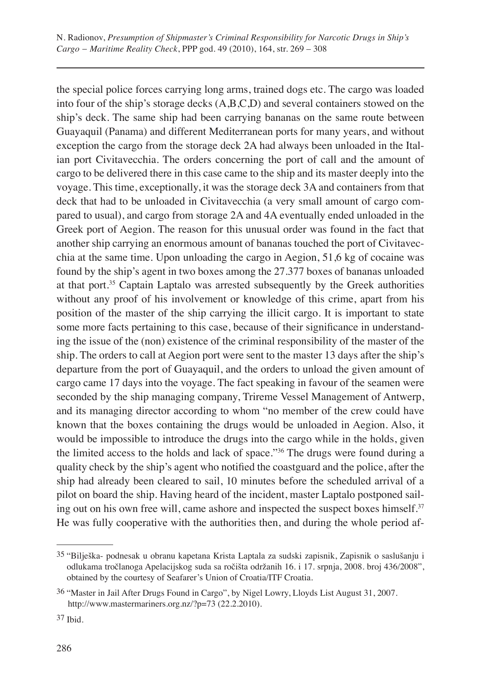the special police forces carrying long arms, trained dogs etc. The cargo was loaded into four of the ship's storage decks (A,B,C,D) and several containers stowed on the ship's deck. The same ship had been carrying bananas on the same route between Guayaquil (Panama) and different Mediterranean ports for many years, and without exception the cargo from the storage deck 2A had always been unloaded in the Italian port Civitavecchia. The orders concerning the port of call and the amount of cargo to be delivered there in this case came to the ship and its master deeply into the voyage. This time, exceptionally, it was the storage deck 3A and containers from that deck that had to be unloaded in Civitavecchia (a very small amount of cargo compared to usual), and cargo from storage 2A and 4A eventually ended unloaded in the Greek port of Aegion. The reason for this unusual order was found in the fact that another ship carrying an enormous amount of bananas touched the port of Civitavecchia at the same time. Upon unloading the cargo in Aegion, 51,6 kg of cocaine was found by the ship's agent in two boxes among the 27.377 boxes of bananas unloaded at that port.<sup>35</sup> Captain Laptalo was arrested subsequently by the Greek authorities without any proof of his involvement or knowledge of this crime, apart from his position of the master of the ship carrying the illicit cargo. It is important to state some more facts pertaining to this case, because of their significance in understanding the issue of the (non) existence of the criminal responsibility of the master of the ship. The orders to call at Aegion port were sent to the master 13 days after the ship's departure from the port of Guayaquil, and the orders to unload the given amount of cargo came 17 days into the voyage. The fact speaking in favour of the seamen were seconded by the ship managing company, Trireme Vessel Management of Antwerp, and its managing director according to whom "no member of the crew could have known that the boxes containing the drugs would be unloaded in Aegion. Also, it would be impossible to introduce the drugs into the cargo while in the holds, given the limited access to the holds and lack of space."36 The drugs were found during a quality check by the ship's agent who notified the coastguard and the police, after the ship had already been cleared to sail, 10 minutes before the scheduled arrival of a pilot on board the ship. Having heard of the incident, master Laptalo postponed sailing out on his own free will, came ashore and inspected the suspect boxes himself.<sup>37</sup> He was fully cooperative with the authorities then, and during the whole period af-

<sup>35</sup> "Bilješka- podnesak u obranu kapetana Krista Laptala za sudski zapisnik, Zapisnik o saslušanju i odlukama tročlanoga Apelacijskog suda sa ročišta održanih 16. i 17. srpnja, 2008. broj 436/2008", obtained by the courtesy of Seafarer's Union of Croatia/ITF Croatia.

<sup>36</sup> "Master in Jail After Drugs Found in Cargo", by Nigel Lowry, Lloyds List August 31, 2007. http://www.mastermariners.org.nz/?p=73 (22.2.2010).

<sup>37</sup> Ibid.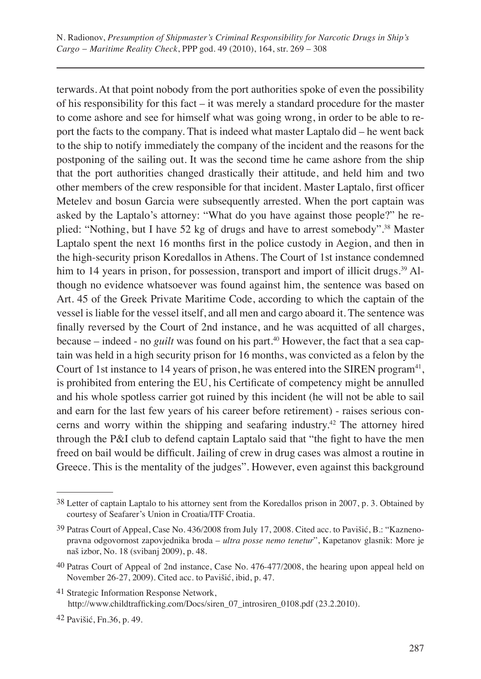terwards. At that point nobody from the port authorities spoke of even the possibility of his responsibility for this fact – it was merely a standard procedure for the master to come ashore and see for himself what was going wrong, in order to be able to report the facts to the company. That is indeed what master Laptalo did – he went back to the ship to notify immediately the company of the incident and the reasons for the postponing of the sailing out. It was the second time he came ashore from the ship that the port authorities changed drastically their attitude, and held him and two other members of the crew responsible for that incident. Master Laptalo, first officer Metelev and bosun Garcia were subsequently arrested. When the port captain was asked by the Laptalo's attorney: "What do you have against those people?" he replied: "Nothing, but I have 52 kg of drugs and have to arrest somebody".38 Master Laptalo spent the next 16 months first in the police custody in Aegion, and then in the high-security prison Koredallos in Athens. The Court of 1st instance condemned him to 14 years in prison, for possession, transport and import of illicit drugs.<sup>39</sup> Although no evidence whatsoever was found against him, the sentence was based on Art. 45 of the Greek Private Maritime Code, according to which the captain of the vessel is liable for the vessel itself, and all men and cargo aboard it. The sentence was finally reversed by the Court of 2nd instance, and he was acquitted of all charges, because – indeed - no *guilt* was found on his part.<sup>40</sup> However, the fact that a sea captain was held in a high security prison for 16 months, was convicted as a felon by the Court of 1st instance to 14 years of prison, he was entered into the SIREN program<sup>41</sup>, is prohibited from entering the EU, his Certificate of competency might be annulled and his whole spotless carrier got ruined by this incident (he will not be able to sail and earn for the last few years of his career before retirement) - raises serious concerns and worry within the shipping and seafaring industry.42 The attorney hired through the P&I club to defend captain Laptalo said that "the fight to have the men freed on bail would be difficult. Jailing of crew in drug cases was almost a routine in Greece. This is the mentality of the judges". However, even against this background

<sup>38</sup> Letter of captain Laptalo to his attorney sent from the Koredallos prison in 2007, p. 3. Obtained by courtesy of Seafarer's Union in Croatia/ITF Croatia.

<sup>39</sup> Patras Court of Appeal, Case No. 436/2008 from July 17, 2008. Cited acc. to Pavišić, B.: "Kaznenopravna odgovornost zapovjednika broda – *ultra posse nemo tenetur*", Kapetanov glasnik: More je naš izbor, No. 18 (svibanj 2009), p. 48.

<sup>40</sup> Patras Court of Appeal of 2nd instance, Case No. 476-477/2008, the hearing upon appeal held on November 26-27, 2009). Cited acc. to Pavišić, ibid, p. 47.

<sup>41</sup> Strategic Information Response Network, http://www.childtrafficking.com/Docs/siren\_07\_introsiren\_0108.pdf (23.2.2010).

<sup>42</sup> Pavišić, Fn.36, p. 49.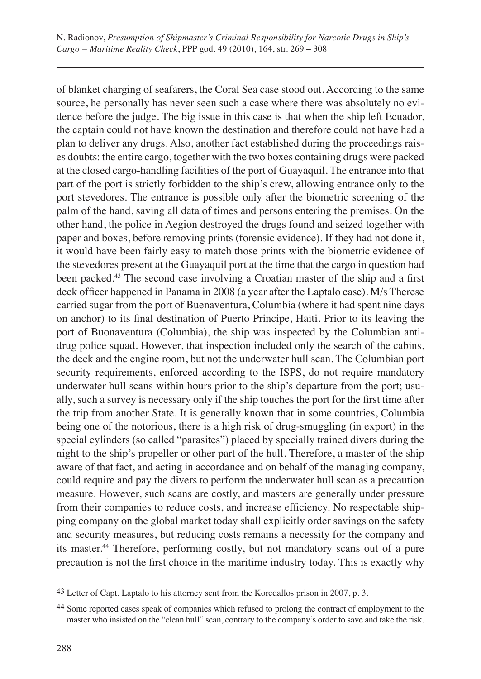of blanket charging of seafarers, the Coral Sea case stood out. According to the same source, he personally has never seen such a case where there was absolutely no evidence before the judge. The big issue in this case is that when the ship left Ecuador, the captain could not have known the destination and therefore could not have had a plan to deliver any drugs. Also, another fact established during the proceedings raises doubts: the entire cargo, together with the two boxes containing drugs were packed at the closed cargo-handling facilities of the port of Guayaquil. The entrance into that part of the port is strictly forbidden to the ship's crew, allowing entrance only to the port stevedores. The entrance is possible only after the biometric screening of the palm of the hand, saving all data of times and persons entering the premises. On the other hand, the police in Aegion destroyed the drugs found and seized together with paper and boxes, before removing prints (forensic evidence). If they had not done it, it would have been fairly easy to match those prints with the biometric evidence of the stevedores present at the Guayaquil port at the time that the cargo in question had been packed.43 The second case involving a Croatian master of the ship and a first deck officer happened in Panama in 2008 (a year after the Laptalo case). M/s Therese carried sugar from the port of Buenaventura, Columbia (where it had spent nine days on anchor) to its final destination of Puerto Principe, Haiti. Prior to its leaving the port of Buonaventura (Columbia), the ship was inspected by the Columbian antidrug police squad. However, that inspection included only the search of the cabins, the deck and the engine room, but not the underwater hull scan. The Columbian port security requirements, enforced according to the ISPS, do not require mandatory underwater hull scans within hours prior to the ship's departure from the port; usually, such a survey is necessary only if the ship touches the port for the first time after the trip from another State. It is generally known that in some countries, Columbia being one of the notorious, there is a high risk of drug-smuggling (in export) in the special cylinders (so called "parasites") placed by specially trained divers during the night to the ship's propeller or other part of the hull. Therefore, a master of the ship aware of that fact, and acting in accordance and on behalf of the managing company, could require and pay the divers to perform the underwater hull scan as a precaution measure. However, such scans are costly, and masters are generally under pressure from their companies to reduce costs, and increase efficiency. No respectable shipping company on the global market today shall explicitly order savings on the safety and security measures, but reducing costs remains a necessity for the company and its master.44 Therefore, performing costly, but not mandatory scans out of a pure precaution is not the first choice in the maritime industry today. This is exactly why

<sup>43</sup> Letter of Capt. Laptalo to his attorney sent from the Koredallos prison in 2007, p. 3.

<sup>44</sup> Some reported cases speak of companies which refused to prolong the contract of employment to the master who insisted on the "clean hull" scan, contrary to the company's order to save and take the risk.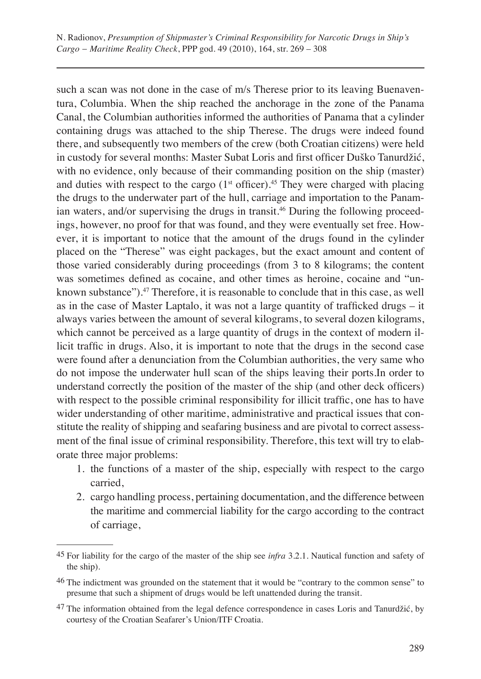such a scan was not done in the case of m/s Therese prior to its leaving Buenaventura, Columbia. When the ship reached the anchorage in the zone of the Panama Canal, the Columbian authorities informed the authorities of Panama that a cylinder containing drugs was attached to the ship Therese. The drugs were indeed found there, and subsequently two members of the crew (both Croatian citizens) were held in custody for several months: Master Subat Loris and first officer Duško Tanurdžić, with no evidence, only because of their commanding position on the ship (master) and duties with respect to the cargo  $(1<sup>st</sup>$  officer).<sup>45</sup> They were charged with placing the drugs to the underwater part of the hull, carriage and importation to the Panamian waters, and/or supervising the drugs in transit.<sup>46</sup> During the following proceedings, however, no proof for that was found, and they were eventually set free. However, it is important to notice that the amount of the drugs found in the cylinder placed on the "Therese" was eight packages, but the exact amount and content of those varied considerably during proceedings (from 3 to 8 kilograms; the content was sometimes defined as cocaine, and other times as heroine, cocaine and "unknown substance").47 Therefore, it is reasonable to conclude that in this case, as well as in the case of Master Laptalo, it was not a large quantity of trafficked drugs – it always varies between the amount of several kilograms, to several dozen kilograms, which cannot be perceived as a large quantity of drugs in the context of modern illicit traffic in drugs. Also, it is important to note that the drugs in the second case were found after a denunciation from the Columbian authorities, the very same who do not impose the underwater hull scan of the ships leaving their ports.In order to understand correctly the position of the master of the ship (and other deck officers) with respect to the possible criminal responsibility for illicit traffic, one has to have wider understanding of other maritime, administrative and practical issues that constitute the reality of shipping and seafaring business and are pivotal to correct assessment of the final issue of criminal responsibility. Therefore, this text will try to elaborate three major problems:

- 1. the functions of a master of the ship, especially with respect to the cargo carried,
- 2. cargo handling process, pertaining documentation, and the difference between the maritime and commercial liability for the cargo according to the contract of carriage,

<sup>45</sup> For liability for the cargo of the master of the ship see *infra* 3.2.1. Nautical function and safety of the ship).

<sup>46</sup> The indictment was grounded on the statement that it would be "contrary to the common sense" to presume that such a shipment of drugs would be left unattended during the transit.

<sup>47</sup> The information obtained from the legal defence correspondence in cases Loris and Tanurdžić, by courtesy of the Croatian Seafarer's Union/ITF Croatia.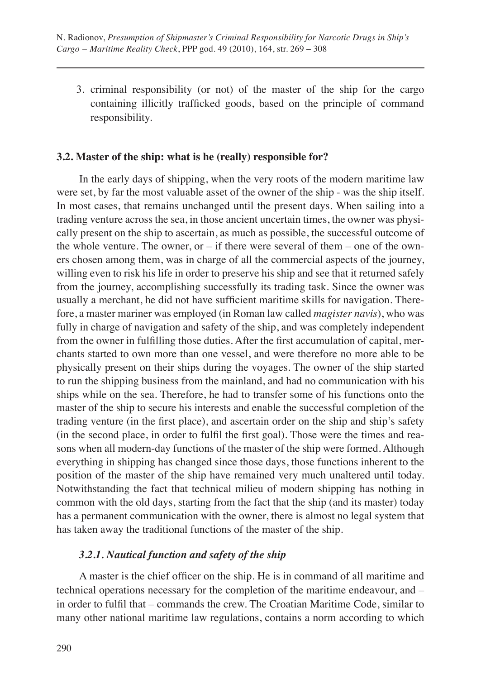3. criminal responsibility (or not) of the master of the ship for the cargo containing illicitly trafficked goods, based on the principle of command responsibility.

#### **3.2. Master of the ship: what is he (really) responsible for?**

In the early days of shipping, when the very roots of the modern maritime law were set, by far the most valuable asset of the owner of the ship - was the ship itself. In most cases, that remains unchanged until the present days. When sailing into a trading venture across the sea, in those ancient uncertain times, the owner was physically present on the ship to ascertain, as much as possible, the successful outcome of the whole venture. The owner, or  $-$  if there were several of them  $-$  one of the owners chosen among them, was in charge of all the commercial aspects of the journey, willing even to risk his life in order to preserve his ship and see that it returned safely from the journey, accomplishing successfully its trading task. Since the owner was usually a merchant, he did not have sufficient maritime skills for navigation. Therefore, a master mariner was employed (in Roman law called *magister navis*), who was fully in charge of navigation and safety of the ship, and was completely independent from the owner in fulfilling those duties. After the first accumulation of capital, merchants started to own more than one vessel, and were therefore no more able to be physically present on their ships during the voyages. The owner of the ship started to run the shipping business from the mainland, and had no communication with his ships while on the sea. Therefore, he had to transfer some of his functions onto the master of the ship to secure his interests and enable the successful completion of the trading venture (in the first place), and ascertain order on the ship and ship's safety (in the second place, in order to fulfil the first goal). Those were the times and reasons when all modern-day functions of the master of the ship were formed. Although everything in shipping has changed since those days, those functions inherent to the position of the master of the ship have remained very much unaltered until today. Notwithstanding the fact that technical milieu of modern shipping has nothing in common with the old days, starting from the fact that the ship (and its master) today has a permanent communication with the owner, there is almost no legal system that has taken away the traditional functions of the master of the ship.

### *3.2.1. Nautical function and safety of the ship*

A master is the chief officer on the ship. He is in command of all maritime and technical operations necessary for the completion of the maritime endeavour, and – in order to fulfil that – commands the crew. The Croatian Maritime Code, similar to many other national maritime law regulations, contains a norm according to which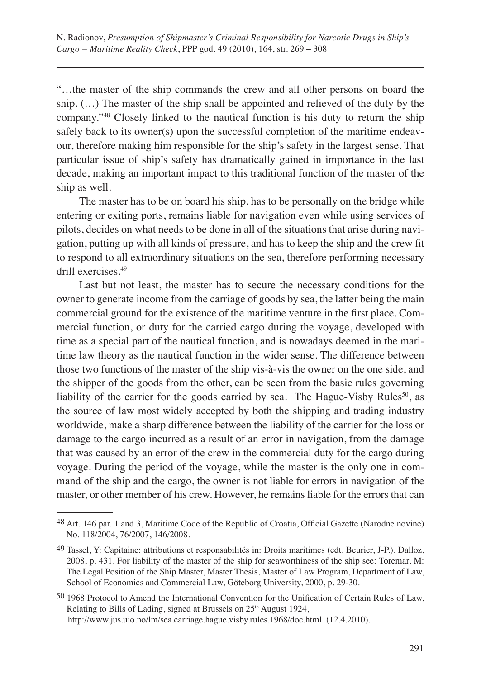"…the master of the ship commands the crew and all other persons on board the ship. (…) The master of the ship shall be appointed and relieved of the duty by the company."48 Closely linked to the nautical function is his duty to return the ship safely back to its owner(s) upon the successful completion of the maritime endeavour, therefore making him responsible for the ship's safety in the largest sense. That particular issue of ship's safety has dramatically gained in importance in the last decade, making an important impact to this traditional function of the master of the ship as well.

The master has to be on board his ship, has to be personally on the bridge while entering or exiting ports, remains liable for navigation even while using services of pilots, decides on what needs to be done in all of the situations that arise during navigation, putting up with all kinds of pressure, and has to keep the ship and the crew fit to respond to all extraordinary situations on the sea, therefore performing necessary drill exercises<sup>49</sup>

Last but not least, the master has to secure the necessary conditions for the owner to generate income from the carriage of goods by sea, the latter being the main commercial ground for the existence of the maritime venture in the first place. Commercial function, or duty for the carried cargo during the voyage, developed with time as a special part of the nautical function, and is nowadays deemed in the maritime law theory as the nautical function in the wider sense. The difference between those two functions of the master of the ship vis-à-vis the owner on the one side, and the shipper of the goods from the other, can be seen from the basic rules governing liability of the carrier for the goods carried by sea. The Hague-Visby Rules<sup>50</sup>, as the source of law most widely accepted by both the shipping and trading industry worldwide, make a sharp difference between the liability of the carrier for the loss or damage to the cargo incurred as a result of an error in navigation, from the damage that was caused by an error of the crew in the commercial duty for the cargo during voyage. During the period of the voyage, while the master is the only one in command of the ship and the cargo, the owner is not liable for errors in navigation of the master, or other member of his crew. However, he remains liable for the errors that can

<sup>48</sup> Art. 146 par. 1 and 3, Maritime Code of the Republic of Croatia, Official Gazette (Narodne novine) No. 118/2004, 76/2007, 146/2008.

<sup>49</sup> Tassel, Y: Capitaine: attributions et responsabilités in: Droits maritimes (edt. Beurier, J-P.), Dalloz, 2008, p. 431. For liability of the master of the ship for seaworthiness of the ship see: Toremar, M: The Legal Position of the Ship Master, Master Thesis, Master of Law Program, Department of Law, School of Economics and Commercial Law, Göteborg University, 2000, p. 29-30.

<sup>50</sup> 1968 Protocol to Amend the International Convention for the Unification of Certain Rules of Law, Relating to Bills of Lading, signed at Brussels on 25<sup>th</sup> August 1924, http://www.jus.uio.no/lm/sea.carriage.hague.visby.rules.1968/doc.html (12.4.2010).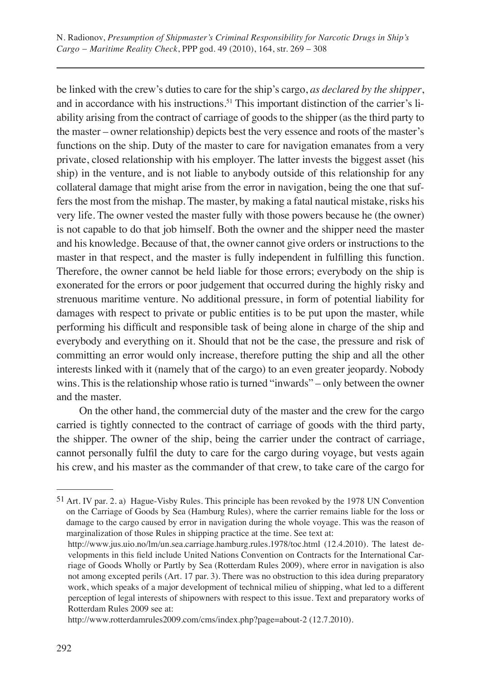be linked with the crew's duties to care for the ship's cargo, *as declared by the shipper*, and in accordance with his instructions.<sup>51</sup> This important distinction of the carrier's liability arising from the contract of carriage of goods to the shipper (as the third party to the master – owner relationship) depicts best the very essence and roots of the master's functions on the ship. Duty of the master to care for navigation emanates from a very private, closed relationship with his employer. The latter invests the biggest asset (his ship) in the venture, and is not liable to anybody outside of this relationship for any collateral damage that might arise from the error in navigation, being the one that suffers the most from the mishap. The master, by making a fatal nautical mistake, risks his very life. The owner vested the master fully with those powers because he (the owner) is not capable to do that job himself. Both the owner and the shipper need the master and his knowledge. Because of that, the owner cannot give orders or instructions to the master in that respect, and the master is fully independent in fulfilling this function. Therefore, the owner cannot be held liable for those errors; everybody on the ship is exonerated for the errors or poor judgement that occurred during the highly risky and strenuous maritime venture. No additional pressure, in form of potential liability for damages with respect to private or public entities is to be put upon the master, while performing his difficult and responsible task of being alone in charge of the ship and everybody and everything on it. Should that not be the case, the pressure and risk of committing an error would only increase, therefore putting the ship and all the other interests linked with it (namely that of the cargo) to an even greater jeopardy. Nobody wins. This is the relationship whose ratio is turned "inwards" – only between the owner and the master.

On the other hand, the commercial duty of the master and the crew for the cargo carried is tightly connected to the contract of carriage of goods with the third party, the shipper. The owner of the ship, being the carrier under the contract of carriage, cannot personally fulfil the duty to care for the cargo during voyage, but vests again his crew, and his master as the commander of that crew, to take care of the cargo for

<sup>51</sup> Art. IV par. 2. a) Hague-Visby Rules. This principle has been revoked by the 1978 UN Convention on the Carriage of Goods by Sea (Hamburg Rules), where the carrier remains liable for the loss or damage to the cargo caused by error in navigation during the whole voyage. This was the reason of marginalization of those Rules in shipping practice at the time. See text at:

http://www.jus.uio.no/lm/un.sea.carriage.hamburg.rules.1978/toc.html (12.4.2010). The latest developments in this field include United Nations Convention on Contracts for the International Carriage of Goods Wholly or Partly by Sea (Rotterdam Rules 2009), where error in navigation is also not among excepted perils (Art. 17 par. 3). There was no obstruction to this idea during preparatory work, which speaks of a major development of technical milieu of shipping, what led to a different perception of legal interests of shipowners with respect to this issue. Text and preparatory works of Rotterdam Rules 2009 see at:

http://www.rotterdamrules2009.com/cms/index.php?page=about-2 (12.7.2010).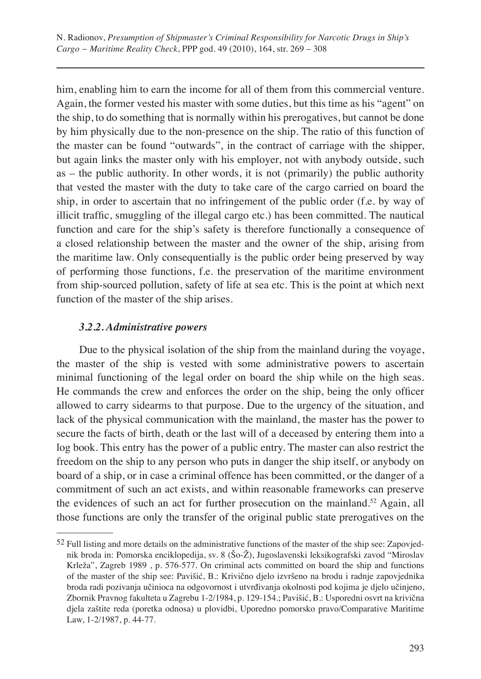him, enabling him to earn the income for all of them from this commercial venture. Again, the former vested his master with some duties, but this time as his "agent" on the ship, to do something that is normally within his prerogatives, but cannot be done by him physically due to the non-presence on the ship. The ratio of this function of the master can be found "outwards", in the contract of carriage with the shipper, but again links the master only with his employer, not with anybody outside, such as – the public authority. In other words, it is not (primarily) the public authority that vested the master with the duty to take care of the cargo carried on board the ship, in order to ascertain that no infringement of the public order (f.e. by way of illicit traffic, smuggling of the illegal cargo etc.) has been committed. The nautical function and care for the ship's safety is therefore functionally a consequence of a closed relationship between the master and the owner of the ship, arising from the maritime law. Only consequentially is the public order being preserved by way of performing those functions, f.e. the preservation of the maritime environment from ship-sourced pollution, safety of life at sea etc. This is the point at which next function of the master of the ship arises.

## *3.2.2. Administrative powers*

Due to the physical isolation of the ship from the mainland during the voyage, the master of the ship is vested with some administrative powers to ascertain minimal functioning of the legal order on board the ship while on the high seas. He commands the crew and enforces the order on the ship, being the only officer allowed to carry sidearms to that purpose. Due to the urgency of the situation, and lack of the physical communication with the mainland, the master has the power to secure the facts of birth, death or the last will of a deceased by entering them into a log book. This entry has the power of a public entry. The master can also restrict the freedom on the ship to any person who puts in danger the ship itself, or anybody on board of a ship, or in case a criminal offence has been committed, or the danger of a commitment of such an act exists, and within reasonable frameworks can preserve the evidences of such an act for further prosecution on the mainland.<sup>52</sup> Again, all those functions are only the transfer of the original public state prerogatives on the

<sup>52</sup> Full listing and more details on the administrative functions of the master of the ship see: Zapovjednik broda in: Pomorska enciklopedija, sv. 8 (Šo-Ž), Jugoslavenski leksikografski zavod "Miroslav Krleža", Zagreb 1989 , p. 576-577. On criminal acts committed on board the ship and functions of the master of the ship see: Pavišić, B.: Krivično djelo izvršeno na brodu i radnje zapovjednika broda radi pozivanja učinioca na odgovornost i utvrđivanja okolnosti pod kojima je djelo učinjeno, Zbornik Pravnog fakulteta u Zagrebu 1-2/1984, p. 129-154.; Pavišić, B.: Usporedni osvrt na krivična djela zaštite reda (poretka odnosa) u plovidbi, Uporedno pomorsko pravo/Comparative Maritime Law, 1-2/1987, p. 44-77.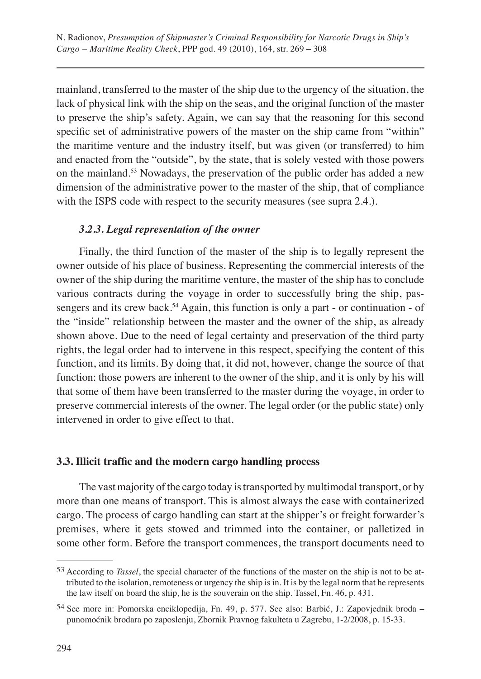mainland, transferred to the master of the ship due to the urgency of the situation, the lack of physical link with the ship on the seas, and the original function of the master to preserve the ship's safety. Again, we can say that the reasoning for this second specific set of administrative powers of the master on the ship came from "within" the maritime venture and the industry itself, but was given (or transferred) to him and enacted from the "outside", by the state, that is solely vested with those powers on the mainland.53 Nowadays, the preservation of the public order has added a new dimension of the administrative power to the master of the ship, that of compliance with the ISPS code with respect to the security measures (see supra 2.4.).

#### *3.2.3. Legal representation of the owner*

Finally, the third function of the master of the ship is to legally represent the owner outside of his place of business. Representing the commercial interests of the owner of the ship during the maritime venture, the master of the ship has to conclude various contracts during the voyage in order to successfully bring the ship, passengers and its crew back.<sup>54</sup> Again, this function is only a part - or continuation - of the "inside" relationship between the master and the owner of the ship, as already shown above. Due to the need of legal certainty and preservation of the third party rights, the legal order had to intervene in this respect, specifying the content of this function, and its limits. By doing that, it did not, however, change the source of that function: those powers are inherent to the owner of the ship, and it is only by his will that some of them have been transferred to the master during the voyage, in order to preserve commercial interests of the owner. The legal order (or the public state) only intervened in order to give effect to that.

#### **3.3. Illicit traffic and the modern cargo handling process**

The vast majority of the cargo today is transported by multimodal transport, or by more than one means of transport. This is almost always the case with containerized cargo. The process of cargo handling can start at the shipper's or freight forwarder's premises, where it gets stowed and trimmed into the container, or palletized in some other form. Before the transport commences, the transport documents need to

<sup>53</sup> According to *Tassel*, the special character of the functions of the master on the ship is not to be attributed to the isolation, remoteness or urgency the ship is in. It is by the legal norm that he represents the law itself on board the ship, he is the souverain on the ship. Tassel, Fn. 46, p. 431.

<sup>54</sup> See more in: Pomorska enciklopedija, Fn. 49, p. 577. See also: Barbić, J.: Zapovjednik broda – punomoćnik brodara po zaposlenju, Zbornik Pravnog fakulteta u Zagrebu, 1-2/2008, p. 15-33.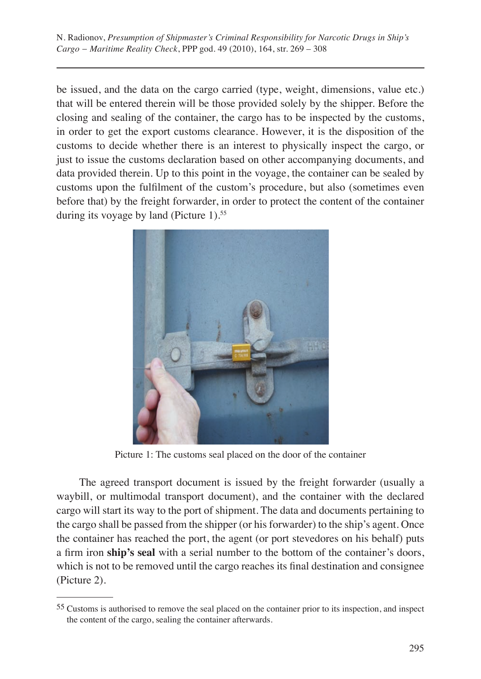N. Radionov, *Presumption of Shipmaster's Criminal Responsibility for Narcotic Drugs in Ship's Cargo* − *Maritime Reality Check*, PPP god. 49 (2010), 164, str. 269 – 308

be issued, and the data on the cargo carried (type, weight, dimensions, value etc.) that will be entered therein will be those provided solely by the shipper. Before the closing and sealing of the container, the cargo has to be inspected by the customs, in order to get the export customs clearance. However, it is the disposition of the customs to decide whether there is an interest to physically inspect the cargo, or just to issue the customs declaration based on other accompanying documents, and data provided therein. Up to this point in the voyage, the container can be sealed by customs upon the fulfilment of the custom's procedure, but also (sometimes even before that) by the freight forwarder, in order to protect the content of the container during its voyage by land (Picture 1).<sup>55</sup>



Picture 1: The customs seal placed on the door of the container

The agreed transport document is issued by the freight forwarder (usually a waybill, or multimodal transport document), and the container with the declared cargo will start its way to the port of shipment. The data and documents pertaining to the cargo shall be passed from the shipper (or his forwarder) to the ship's agent. Once the container has reached the port, the agent (or port stevedores on his behalf) puts a firm iron **ship's seal** with a serial number to the bottom of the container's doors, which is not to be removed until the cargo reaches its final destination and consignee (Picture 2).

<sup>55</sup> Customs is authorised to remove the seal placed on the container prior to its inspection, and inspect the content of the cargo, sealing the container afterwards.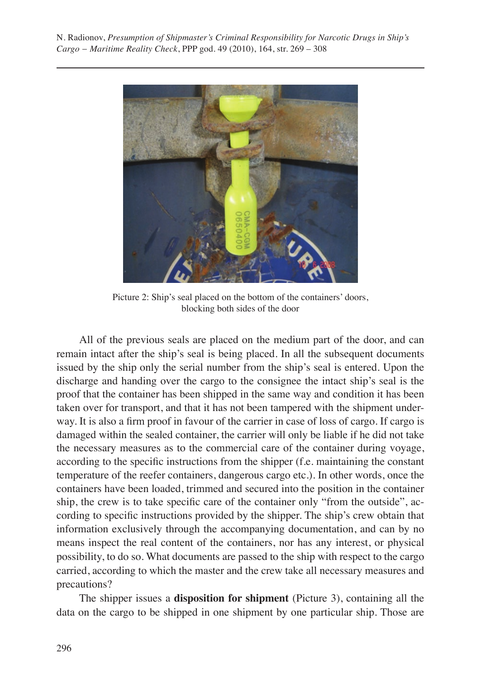N. Radionov, *Presumption of Shipmaster's Criminal Responsibility for Narcotic Drugs in Ship's Cargo* − *Maritime Reality Check*, PPP god. 49 (2010), 164, str. 269 – 308



Picture 2: Ship's seal placed on the bottom of the containers' doors, blocking both sides of the door

All of the previous seals are placed on the medium part of the door, and can remain intact after the ship's seal is being placed. In all the subsequent documents issued by the ship only the serial number from the ship's seal is entered. Upon the discharge and handing over the cargo to the consignee the intact ship's seal is the proof that the container has been shipped in the same way and condition it has been taken over for transport, and that it has not been tampered with the shipment underway. It is also a firm proof in favour of the carrier in case of loss of cargo. If cargo is damaged within the sealed container, the carrier will only be liable if he did not take the necessary measures as to the commercial care of the container during voyage, according to the specific instructions from the shipper (f.e. maintaining the constant temperature of the reefer containers, dangerous cargo etc.). In other words, once the containers have been loaded, trimmed and secured into the position in the container ship, the crew is to take specific care of the container only "from the outside", according to specific instructions provided by the shipper. The ship's crew obtain that information exclusively through the accompanying documentation, and can by no means inspect the real content of the containers, nor has any interest, or physical possibility, to do so. What documents are passed to the ship with respect to the cargo carried, according to which the master and the crew take all necessary measures and precautions?

The shipper issues a **disposition for shipment** (Picture 3), containing all the data on the cargo to be shipped in one shipment by one particular ship. Those are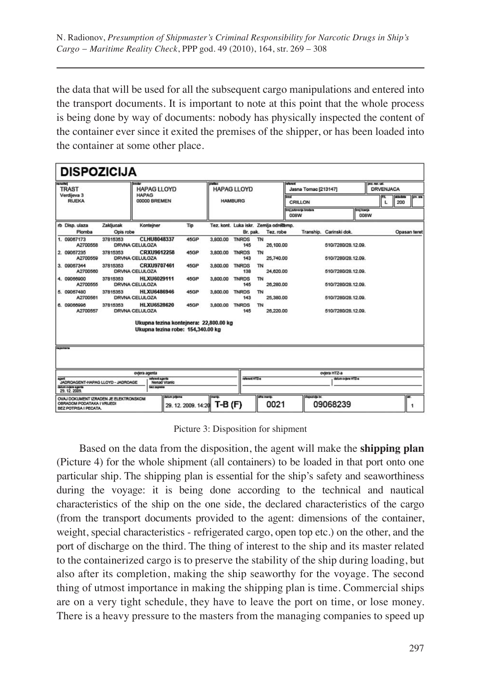the data that will be used for all the subsequent cargo manipulations and entered into the transport documents. It is important to note at this point that the whole process is being done by way of documents: nobody has physically inspected the content of the container ever since it exited the premises of the shipper, or has been loaded into the container at some other place.

|                 | <b>DISPOZICIJA</b>                                                                                  |                                                |                                                                             |                  |                   |                                                    |           |                     |                                           |                         |                            |                                     |  |              |
|-----------------|-----------------------------------------------------------------------------------------------------|------------------------------------------------|-----------------------------------------------------------------------------|------------------|-------------------|----------------------------------------------------|-----------|---------------------|-------------------------------------------|-------------------------|----------------------------|-------------------------------------|--|--------------|
| <b>manachet</b> | <b>TRAST</b><br>Verdijeva 3                                                                         |                                                | <b>HAPAG LLOYD</b><br><b>HAPAG</b>                                          |                  | <b>Distance</b>   | <b>HAPAG LLOYD</b>                                 |           |                     | <b>Industries</b><br>Jasna Tomac [213147] |                         |                            | 002. FIAT. USIL<br><b>DRVENJACA</b> |  |              |
| <b>RIJEKA</b>   |                                                                                                     | 00000 BREMEN                                   | <b>HAMBURG</b>                                                              |                  |                   | biod<br><b>CRILLON</b>                             |           |                     | L                                         | skindate<br>200         | pre. are.                  |                                     |  |              |
|                 |                                                                                                     |                                                |                                                                             |                  |                   |                                                    |           |                     | broj putovenja brodara<br>008W            |                         | <b>broj Tearge</b><br>008W |                                     |  |              |
|                 | rb Disp. ulaza<br>Plomba                                                                            | Zakliucak<br>Opis robe                         | Konteiner                                                                   | Tip              |                   | Tez, kont. Luka iskr. Zemlja odrežemp.<br>Br. pak. |           | Tez. robe           |                                           | Tranship. Carinski dok. |                            |                                     |  | Opasan teret |
|                 | 1. 09067173<br>A2700558                                                                             | 37815353                                       | <b>CLHU8048337</b><br><b>DRVNA CELULOZA</b>                                 | 45GP             | 3,800.00          | <b>TNRDS</b><br>145                                | <b>TN</b> | 26,100.00           |                                           | 510/7280/28.12.09.      |                            |                                     |  |              |
|                 | 2. 09067235<br>A2700559                                                                             | 37815353                                       | <b>CRXU9612258</b><br><b>DRVNA CELULOZA</b>                                 | 45GP             | 3,800.00 TNRDS    | 143                                                | <b>TN</b> | 25,740.00           |                                           | 510/7280/28.12.09.      |                            |                                     |  |              |
|                 | 3. 09067344<br>A2700560                                                                             | 37815353                                       | <b>CRXU9707461</b><br>DRVNA CELULOZA                                        | 45GP             | 3,800.00          | <b>TNRDS</b><br>138                                | <b>TN</b> | 24,620.00           |                                           | 510/7280/28.12.09       |                            |                                     |  |              |
|                 | 4. 09066900<br>A2700555                                                                             | 37815353                                       | <b>HLXU6029111</b><br>DRVNA CELULOZA                                        | 45GP             | 3,800.00          | <b>TNRDS</b><br>145                                | TN        | 26,280.00           |                                           | 510/7280/28.12.09.      |                            |                                     |  |              |
|                 | 5. 09067480<br>A2700561                                                                             | 37815353                                       | HI XU6486946<br><b>DRVNA CELULOZA</b>                                       | 45GP             | 3,800.00          | <b>TNRDS</b><br>143                                | <b>TN</b> | 25,380.00           |                                           | 510/7280/28.12.09.      |                            |                                     |  |              |
|                 | 6. 09066996<br>A2700557                                                                             | 37815353                                       | <b>HLXU6528620</b><br><b>DRVNA CELULOZA</b>                                 | 45GP             | 3,800,00          | <b>TNRDS</b><br>145                                | <b>TN</b> | 26,220.00           |                                           | 510/7280/28.12.09.      |                            |                                     |  |              |
|                 |                                                                                                     |                                                | Ukupna tezina kontejnera: 22,800.00 kg<br>Ukupna tezina robe: 154,340.00 kg |                  |                   |                                                    |           |                     |                                           |                         |                            |                                     |  |              |
|                 | mappments                                                                                           |                                                |                                                                             |                  |                   |                                                    |           |                     |                                           |                         |                            |                                     |  |              |
|                 |                                                                                                     |                                                | ovjera agenta                                                               |                  |                   |                                                    |           |                     |                                           | ovjera HTZ-a            |                            |                                     |  |              |
| agent           | JADROAGENT-HAPAG LLOYD - JADROAGE<br>datum cviere agenta<br>29, 12, 2009.                           | referent spenks<br>Nenad Vranio<br>bez zaprete |                                                                             |                  |                   | referent HTZ-a                                     |           |                     | datum cujere HTZ-a                        |                         |                            |                                     |  |              |
|                 | OVAJ DOKUMENT IZRADEN JE ELEKTRONSKOM<br>OBRADOM PODATAKA I VRIJEDI<br><b>BEZ POTPISA I PECATA.</b> |                                                | datum prisma                                                                | 29.12.2009.14:20 | ments<br>$T-B(F)$ |                                                    |           | alta mario.<br>0021 | dispozicija br.                           | 09068239                |                            |                                     |  | 1            |

Picture 3: Disposition for shipment

Based on the data from the disposition, the agent will make the **shipping plan**  (Picture 4) for the whole shipment (all containers) to be loaded in that port onto one particular ship. The shipping plan is essential for the ship's safety and seaworthiness during the voyage: it is being done according to the technical and nautical characteristics of the ship on the one side, the declared characteristics of the cargo (from the transport documents provided to the agent: dimensions of the container, weight, special characteristics - refrigerated cargo, open top etc.) on the other, and the port of discharge on the third. The thing of interest to the ship and its master related to the containerized cargo is to preserve the stability of the ship during loading, but also after its completion, making the ship seaworthy for the voyage. The second thing of utmost importance in making the shipping plan is time. Commercial ships are on a very tight schedule, they have to leave the port on time, or lose money. There is a heavy pressure to the masters from the managing companies to speed up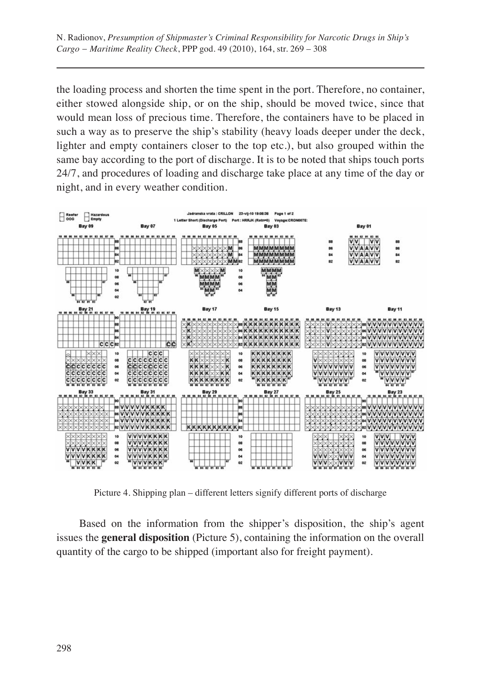the loading process and shorten the time spent in the port. Therefore, no container, either stowed alongside ship, or on the ship, should be moved twice, since that would mean loss of precious time. Therefore, the containers have to be placed in such a way as to preserve the ship's stability (heavy loads deeper under the deck, lighter and empty containers closer to the top etc.), but also grouped within the same bay according to the port of discharge. It is to be noted that ships touch ports 24/7, and procedures of loading and discharge take place at any time of the day or night, and in every weather condition.



Picture 4. Shipping plan – different letters signify different ports of discharge

Based on the information from the shipper's disposition, the ship's agent issues the **general disposition** (Picture 5), containing the information on the overall quantity of the cargo to be shipped (important also for freight payment).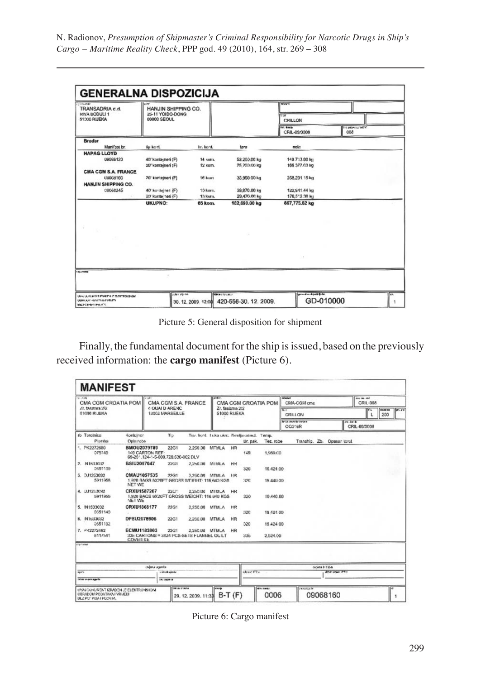| <b>TELESCO</b><br><b>TRANSADRIA c.d.</b><br><b>HIVA BODULI 1</b>                         | HANJIN SHIPPING CO.<br>25-11 YOIDO-DONG |                     |                                               | Whis-I                               |                               |                |
|------------------------------------------------------------------------------------------|-----------------------------------------|---------------------|-----------------------------------------------|--------------------------------------|-------------------------------|----------------|
| 51000 RUEKA                                                                              | 00000 SEOUL                             |                     |                                               | CHILLON                              |                               |                |
|                                                                                          |                                         |                     |                                               | ter. torb.<br>CRIL-09/0008           | the surgeon to teacher<br>cos |                |
| <b>Brodar</b>                                                                            |                                         |                     |                                               |                                      |                               |                |
| Manifest br.                                                                             | lip kott.                               | br. kont.           | tara                                          | note                                 |                               |                |
| <b>HAPAG LLOYD</b>                                                                       |                                         |                     |                                               |                                      |                               |                |
| 09068120                                                                                 | 40' konteineri (F)                      | 14 um.              | 53.203.00 kg                                  | 149.713.90 kg                        |                               |                |
|                                                                                          | 20° kontejneri (F)                      | 12 kom.             | 25 200.00 kg                                  | 166 377.03 kg                        |                               |                |
| <b>CMA CGM S.A. FRANCE</b>                                                               |                                         |                     |                                               |                                      |                               |                |
| 09003100                                                                                 | 20' kontejneri (F)                      | 16 kom              | 35.950 00 kg                                  | 258.231.15 kg                        |                               |                |
| HANJIN SHIPPING CO.                                                                      |                                         |                     |                                               |                                      |                               |                |
| 09068245                                                                                 | 40' kontejner (F)                       | 10 kom.             | 38,870.00 km                                  | 122,941.44 kg                        |                               |                |
|                                                                                          | 20' konte heri (F)                      | 13 kom.             | 29,470.00 ku                                  | 170,512.30 kg                        |                               |                |
|                                                                                          | UKUPNO:                                 | 65 korn.            | 182,690.00 kg                                 | 867,775.82 kg                        |                               |                |
|                                                                                          |                                         |                     |                                               |                                      |                               |                |
|                                                                                          |                                         |                     |                                               |                                      |                               |                |
|                                                                                          |                                         |                     |                                               |                                      |                               |                |
|                                                                                          |                                         |                     |                                               |                                      |                               |                |
|                                                                                          |                                         |                     |                                               |                                      |                               |                |
|                                                                                          |                                         |                     |                                               |                                      |                               |                |
|                                                                                          |                                         |                     |                                               |                                      |                               |                |
|                                                                                          |                                         |                     |                                               |                                      |                               |                |
|                                                                                          |                                         |                     |                                               | t e                                  |                               |                |
|                                                                                          |                                         |                     |                                               |                                      |                               |                |
|                                                                                          |                                         |                     |                                               |                                      |                               |                |
|                                                                                          |                                         |                     |                                               |                                      |                               |                |
|                                                                                          |                                         |                     |                                               |                                      |                               |                |
| <b>TASJINAM</b><br>University MPAT PRACE 4 IT CUST BOARDON<br>CHRISTANY HOLD TAKE INSURA | <b>GMT ALIM</b>                         | 30, 12, 2009, 12:00 | <b>NORTHER START</b><br>420-556-30, 12, 2009. | grand and purity in he.<br>GD-010000 |                               | $\overline{1}$ |

Picture 5: General disposition for shipment

Finally, the fundamental document for the ship is issued, based on the previously received information: the **cargo manifest** (Picture 6).

| 111.446<br>eval)<br>CMA CGM CROATIA POM<br>$\chi$ r, tasızma $2/2$<br>51000 RUEKA |                          |                                                                      |                                  | CMA CGM S.A. FRANCE |                                                         |                                     |                | <b>GETS 11</b><br>CMA CGM CROATIA POM |                   |                               | related<br>CMA-CGM cma |                            |              | Acc test and<br>CRIL-008 |        |  |  |
|-----------------------------------------------------------------------------------|--------------------------|----------------------------------------------------------------------|----------------------------------|---------------------|---------------------------------------------------------|-------------------------------------|----------------|---------------------------------------|-------------------|-------------------------------|------------------------|----------------------------|--------------|--------------------------|--------|--|--|
|                                                                                   |                          |                                                                      | 4 OUALD ARENC<br>13002 MARSEILLE |                     |                                                         | Zr. fasizma 2/2<br>51000 RIJEKA     |                |                                       |                   | Tel:<br>CRILLON               |                        | distra<br>m<br>200<br>L    |              |                          | pr. cv |  |  |
|                                                                                   |                          |                                                                      |                                  |                     |                                                         |                                     |                |                                       |                   | bella morris codata<br>OCO16R |                        | <b>SIZ AN'AL</b>           | CRIL-09/3008 |                          |        |  |  |
|                                                                                   | rb Torolnica<br>Piomba   | Kontainer<br>Onle robe                                               |                                  | Tip                 |                                                         | Tez. lon! Luka ukn:. Zenilja odred. |                | <b>Br.</b> pak                        | mmp.<br>Tez, robe |                               |                        | Tranship. Zb. Opasar torol |              |                          |        |  |  |
|                                                                                   | 1. PK2272680<br>075149   | BMOU2079789<br>140 CARTON REF:<br>09-291.124-1-5-000.728 530-002 DLV |                                  | 22G1                | 2,250.00                                                | <b>MTMLA</b>                        | <b>HR</b>      | 149                                   | 1,969.00          |                               |                        |                            |              |                          |        |  |  |
|                                                                                   | 2. N1533032<br>0351139   | <b>BSIU2097047</b>                                                   |                                  | 22611               | 2,250.00                                                | MIMLA                               | HK             | 320                                   | 19.424.00         |                               |                        |                            |              |                          |        |  |  |
|                                                                                   | 3. 0.11263092<br>5811955 | CMAU1057535<br>1 920 BAGS 5X20FT GROSS WEIGHT: 115 643 KGS<br>NET WE |                                  | 22 <sub>G1</sub>    | 2.250.00 MTMLA                                          |                                     | HR             | <b>SZC</b>                            | 19 4411.00        |                               |                        |                            |              |                          |        |  |  |
|                                                                                   | 4. 0.11253092<br>5911955 | CRXU1587267<br>NET WE                                                |                                  | 2201                | 2.250.00<br>1,920 BACS 6X20FT CROSS WEIGHT: 116,640 KGS | ALMIM                               | H <sub>K</sub> | 320                                   | 19,440.00         |                               |                        |                            |              |                          |        |  |  |
|                                                                                   | 5. IN1533032<br>0351149  | CRXU1868177                                                          |                                  | 22G1                | 2,250.00                                                | MTM A                               | <b>HR</b>      | 320                                   | 18.421.00         |                               |                        |                            |              |                          |        |  |  |
|                                                                                   | 6. N1533032<br>0551132   | DFSU2078906                                                          |                                  | 22G1                | 2.25C.00                                                | <b>MTMLA</b>                        | <b>HR</b>      | 320                                   | 19,424.00         |                               |                        |                            |              |                          |        |  |  |
|                                                                                   | 7. 242272462<br>511/551  | ECMU1183963<br>COVER SE                                              |                                  | 22G1                | 2.25C.00<br>335 CARTONS = 3824 PCS-SETS FLANNEL OUILT   | MTM_A                               | <b>HR</b>      | 336                                   | 2,524.00          |                               |                        |                            |              |                          |        |  |  |
|                                                                                   | depresses                |                                                                      |                                  |                     |                                                         |                                     |                |                                       |                   |                               |                        |                            |              |                          |        |  |  |
| cojena arpenda                                                                    |                          |                                                                      |                                  |                     |                                                         |                                     |                |                                       |                   |                               | oceca FTZ-a            |                            |              |                          |        |  |  |
| cinet water<br>42416                                                              |                          |                                                                      |                                  |                     |                                                         | sleec 472c                          |                |                                       | Americans FT-     |                               |                        |                            |              |                          |        |  |  |
| <b>ISSUED AND ADMISSION</b><br><b>TRIJACININ</b>                                  |                          |                                                                      |                                  |                     |                                                         |                                     |                |                                       |                   |                               |                        |                            |              |                          |        |  |  |

Picture 6: Cargo manifest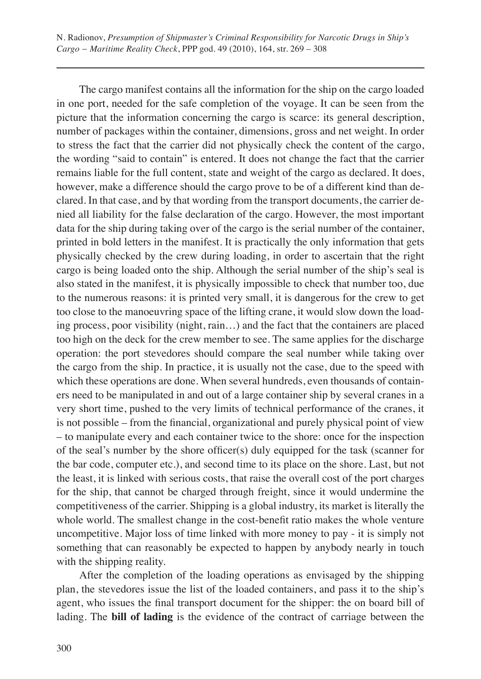The cargo manifest contains all the information for the ship on the cargo loaded in one port, needed for the safe completion of the voyage. It can be seen from the picture that the information concerning the cargo is scarce: its general description, number of packages within the container, dimensions, gross and net weight. In order to stress the fact that the carrier did not physically check the content of the cargo, the wording "said to contain" is entered. It does not change the fact that the carrier remains liable for the full content, state and weight of the cargo as declared. It does, however, make a difference should the cargo prove to be of a different kind than declared. In that case, and by that wording from the transport documents, the carrier denied all liability for the false declaration of the cargo. However, the most important data for the ship during taking over of the cargo is the serial number of the container, printed in bold letters in the manifest. It is practically the only information that gets physically checked by the crew during loading, in order to ascertain that the right cargo is being loaded onto the ship. Although the serial number of the ship's seal is also stated in the manifest, it is physically impossible to check that number too, due to the numerous reasons: it is printed very small, it is dangerous for the crew to get too close to the manoeuvring space of the lifting crane, it would slow down the loading process, poor visibility (night, rain…) and the fact that the containers are placed too high on the deck for the crew member to see. The same applies for the discharge operation: the port stevedores should compare the seal number while taking over the cargo from the ship. In practice, it is usually not the case, due to the speed with which these operations are done. When several hundreds, even thousands of containers need to be manipulated in and out of a large container ship by several cranes in a very short time, pushed to the very limits of technical performance of the cranes, it is not possible – from the financial, organizational and purely physical point of view – to manipulate every and each container twice to the shore: once for the inspection of the seal's number by the shore officer(s) duly equipped for the task (scanner for the bar code, computer etc.), and second time to its place on the shore. Last, but not the least, it is linked with serious costs, that raise the overall cost of the port charges for the ship, that cannot be charged through freight, since it would undermine the competitiveness of the carrier. Shipping is a global industry, its market is literally the whole world. The smallest change in the cost-benefit ratio makes the whole venture uncompetitive. Major loss of time linked with more money to pay - it is simply not something that can reasonably be expected to happen by anybody nearly in touch with the shipping reality.

After the completion of the loading operations as envisaged by the shipping plan, the stevedores issue the list of the loaded containers, and pass it to the ship's agent, who issues the final transport document for the shipper: the on board bill of lading. The **bill of lading** is the evidence of the contract of carriage between the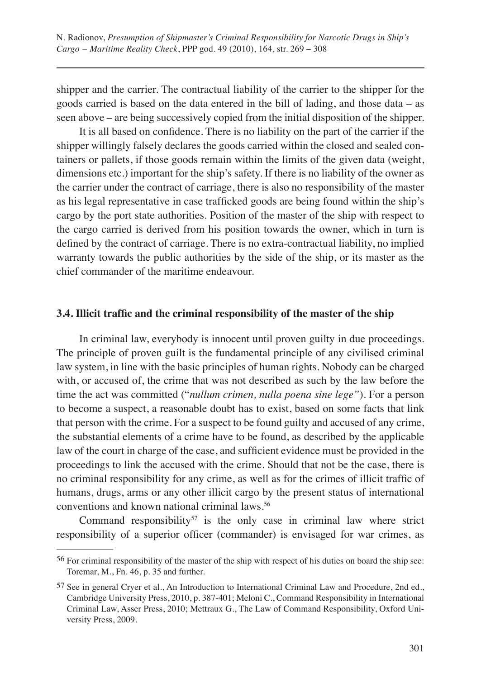shipper and the carrier. The contractual liability of the carrier to the shipper for the goods carried is based on the data entered in the bill of lading, and those data – as seen above – are being successively copied from the initial disposition of the shipper.

It is all based on confidence. There is no liability on the part of the carrier if the shipper willingly falsely declares the goods carried within the closed and sealed containers or pallets, if those goods remain within the limits of the given data (weight, dimensions etc.) important for the ship's safety. If there is no liability of the owner as the carrier under the contract of carriage, there is also no responsibility of the master as his legal representative in case trafficked goods are being found within the ship's cargo by the port state authorities. Position of the master of the ship with respect to the cargo carried is derived from his position towards the owner, which in turn is defined by the contract of carriage. There is no extra-contractual liability, no implied warranty towards the public authorities by the side of the ship, or its master as the chief commander of the maritime endeavour.

#### **3.4. Illicit traffic and the criminal responsibility of the master of the ship**

In criminal law, everybody is innocent until proven guilty in due proceedings. The principle of proven guilt is the fundamental principle of any civilised criminal law system, in line with the basic principles of human rights. Nobody can be charged with, or accused of, the crime that was not described as such by the law before the time the act was committed ("*nullum crimen, nulla poena sine lege"*). For a person to become a suspect, a reasonable doubt has to exist, based on some facts that link that person with the crime. For a suspect to be found guilty and accused of any crime, the substantial elements of a crime have to be found, as described by the applicable law of the court in charge of the case, and sufficient evidence must be provided in the proceedings to link the accused with the crime. Should that not be the case, there is no criminal responsibility for any crime, as well as for the crimes of illicit traffic of humans, drugs, arms or any other illicit cargo by the present status of international conventions and known national criminal laws.56

Command responsibility<sup>57</sup> is the only case in criminal law where strict responsibility of a superior officer (commander) is envisaged for war crimes, as

<sup>56</sup> For criminal responsibility of the master of the ship with respect of his duties on board the ship see: Toremar, M., Fn. 46, p. 35 and further.

<sup>57</sup> See in general Cryer et al., An Introduction to International Criminal Law and Procedure, 2nd ed., Cambridge University Press, 2010, p. 387-401; Meloni C., Command Responsibility in International Criminal Law, Asser Press, 2010; Mettraux G., The Law of Command Responsibility, Oxford University Press, 2009.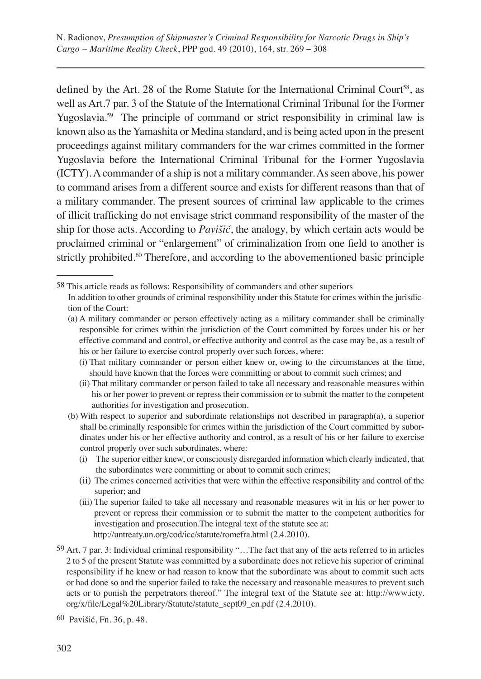defined by the Art. 28 of the Rome Statute for the International Criminal Court<sup>58</sup>, as well as Art.7 par. 3 of the Statute of the International Criminal Tribunal for the Former Yugoslavia.<sup>59</sup> The principle of command or strict responsibility in criminal law is known also as the Yamashita or Medina standard, and is being acted upon in the present proceedings against military commanders for the war crimes committed in the former Yugoslavia before the International Criminal Tribunal for the Former Yugoslavia (ICTY). A commander of a ship is not a military commander. As seen above, his power to command arises from a different source and exists for different reasons than that of a military commander. The present sources of criminal law applicable to the crimes of illicit trafficking do not envisage strict command responsibility of the master of the ship for those acts. According to *Pavišić*, the analogy, by which certain acts would be proclaimed criminal or "enlargement" of criminalization from one field to another is strictly prohibited.<sup>60</sup> Therefore, and according to the abovementioned basic principle

58 This article reads as follows: Responsibility of commanders and other superiors In addition to other grounds of criminal responsibility under this Statute for crimes within the jurisdiction of the Court:

- (ii) That military commander or person failed to take all necessary and reasonable measures within his or her power to prevent or repress their commission or to submit the matter to the competent authorities for investigation and prosecution.
- (b) With respect to superior and subordinate relationships not described in paragraph(a), a superior shall be criminally responsible for crimes within the jurisdiction of the Court committed by subordinates under his or her effective authority and control, as a result of his or her failure to exercise control properly over such subordinates, where:
	- (i) The superior either knew, or consciously disregarded information which clearly indicated, that the subordinates were committing or about to commit such crimes;
	- (ii) The crimes concerned activities that were within the effective responsibility and control of the superior; and
	- (iii) The superior failed to take all necessary and reasonable measures wit in his or her power to prevent or repress their commission or to submit the matter to the competent authorities for investigation and prosecution.The integral text of the statute see at: http://untreaty.un.org/cod/icc/statute/romefra.html (2.4.2010).
- 59 Art. 7 par. 3: Individual criminal responsibility "…The fact that any of the acts referred to in articles 2 to 5 of the present Statute was committed by a subordinate does not relieve his superior of criminal responsibility if he knew or had reason to know that the subordinate was about to commit such acts or had done so and the superior failed to take the necessary and reasonable measures to prevent such acts or to punish the perpetrators thereof." The integral text of the Statute see at: http://www.icty. org/x/file/Legal%20Library/Statute/statute\_sept09\_en.pdf (2.4.2010).

<sup>(</sup>a) A military commander or person effectively acting as a military commander shall be criminally responsible for crimes within the jurisdiction of the Court committed by forces under his or her effective command and control, or effective authority and control as the case may be, as a result of his or her failure to exercise control properly over such forces, where:

<sup>(</sup>i) That military commander or person either knew or, owing to the circumstances at the time, should have known that the forces were committing or about to commit such crimes; and

<sup>60</sup> Pavišić, Fn. 36, p. 48.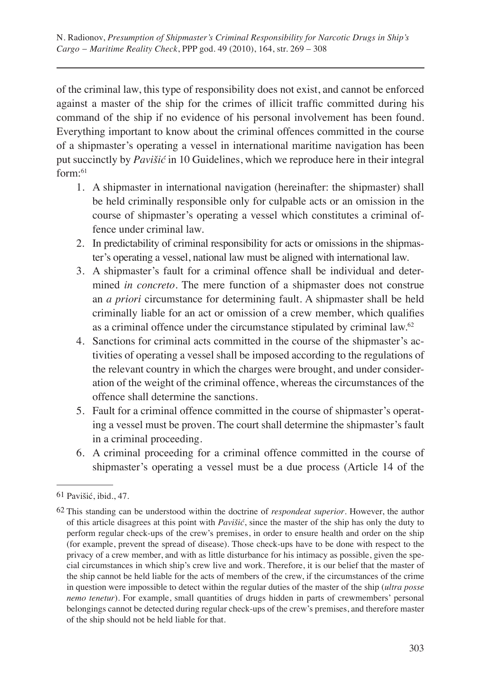of the criminal law, this type of responsibility does not exist, and cannot be enforced against a master of the ship for the crimes of illicit traffic committed during his command of the ship if no evidence of his personal involvement has been found. Everything important to know about the criminal offences committed in the course of a shipmaster's operating a vessel in international maritime navigation has been put succinctly by *Pavišić* in 10 Guidelines, which we reproduce here in their integral  $form: <sup>61</sup>$ 

- 1. A shipmaster in international navigation (hereinafter: the shipmaster) shall be held criminally responsible only for culpable acts or an omission in the course of shipmaster's operating a vessel which constitutes a criminal offence under criminal law.
- 2. In predictability of criminal responsibility for acts or omissions in the shipmaster's operating a vessel, national law must be aligned with international law.
- 3. A shipmaster's fault for a criminal offence shall be individual and determined *in concreto*. The mere function of a shipmaster does not construe an *a priori* circumstance for determining fault. A shipmaster shall be held criminally liable for an act or omission of a crew member, which qualifies as a criminal offence under the circumstance stipulated by criminal law.62
- 4. Sanctions for criminal acts committed in the course of the shipmaster's activities of operating a vessel shall be imposed according to the regulations of the relevant country in which the charges were brought, and under consideration of the weight of the criminal offence, whereas the circumstances of the offence shall determine the sanctions.
- 5. Fault for a criminal offence committed in the course of shipmaster's operating a vessel must be proven. The court shall determine the shipmaster's fault in a criminal proceeding.
- 6. A criminal proceeding for a criminal offence committed in the course of shipmaster's operating a vessel must be a due process (Article 14 of the

<sup>61</sup> Pavišić, ibid., 47.

<sup>62</sup> This standing can be understood within the doctrine of *respondeat superior*. However, the author of this article disagrees at this point with *Pavišić*, since the master of the ship has only the duty to perform regular check-ups of the crew's premises, in order to ensure health and order on the ship (for example, prevent the spread of disease). Those check-ups have to be done with respect to the privacy of a crew member, and with as little disturbance for his intimacy as possible, given the special circumstances in which ship's crew live and work. Therefore, it is our belief that the master of the ship cannot be held liable for the acts of members of the crew, if the circumstances of the crime in question were impossible to detect within the regular duties of the master of the ship (*ultra posse nemo tenetur*). For example, small quantities of drugs hidden in parts of crewmembers' personal belongings cannot be detected during regular check-ups of the crew's premises, and therefore master of the ship should not be held liable for that.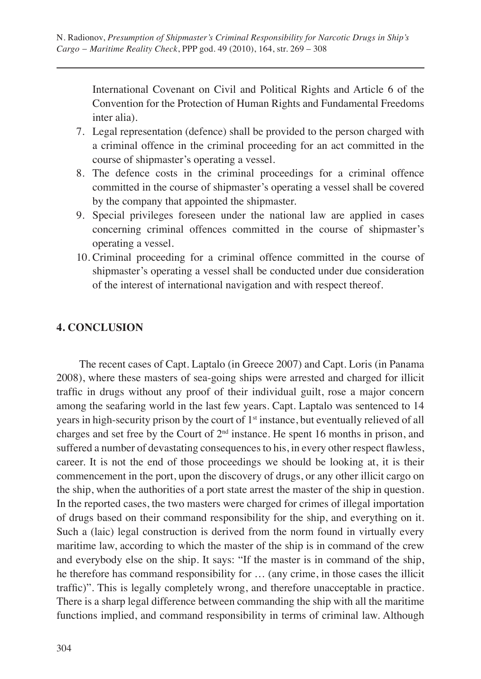International Covenant on Civil and Political Rights and Article 6 of the Convention for the Protection of Human Rights and Fundamental Freedoms inter alia).

- 7. Legal representation (defence) shall be provided to the person charged with a criminal offence in the criminal proceeding for an act committed in the course of shipmaster's operating a vessel.
- 8. The defence costs in the criminal proceedings for a criminal offence committed in the course of shipmaster's operating a vessel shall be covered by the company that appointed the shipmaster.
- 9. Special privileges foreseen under the national law are applied in cases concerning criminal offences committed in the course of shipmaster's operating a vessel.
- 10. Criminal proceeding for a criminal offence committed in the course of shipmaster's operating a vessel shall be conducted under due consideration of the interest of international navigation and with respect thereof.

## **4. CONCLUSION**

The recent cases of Capt. Laptalo (in Greece 2007) and Capt. Loris (in Panama 2008), where these masters of sea-going ships were arrested and charged for illicit traffic in drugs without any proof of their individual guilt, rose a major concern among the seafaring world in the last few years. Capt. Laptalo was sentenced to 14 years in high-security prison by the court of 1<sup>st</sup> instance, but eventually relieved of all charges and set free by the Court of 2nd instance. He spent 16 months in prison, and suffered a number of devastating consequences to his, in every other respect flawless, career. It is not the end of those proceedings we should be looking at, it is their commencement in the port, upon the discovery of drugs, or any other illicit cargo on the ship, when the authorities of a port state arrest the master of the ship in question. In the reported cases, the two masters were charged for crimes of illegal importation of drugs based on their command responsibility for the ship, and everything on it. Such a (laic) legal construction is derived from the norm found in virtually every maritime law, according to which the master of the ship is in command of the crew and everybody else on the ship. It says: "If the master is in command of the ship, he therefore has command responsibility for … (any crime, in those cases the illicit traffic)". This is legally completely wrong, and therefore unacceptable in practice. There is a sharp legal difference between commanding the ship with all the maritime functions implied, and command responsibility in terms of criminal law. Although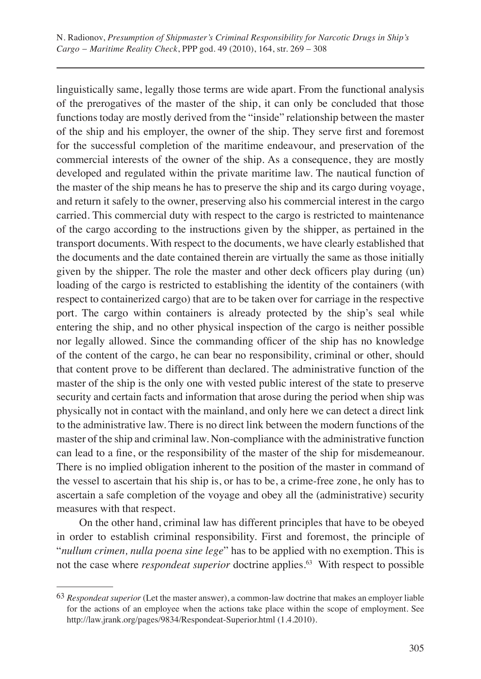linguistically same, legally those terms are wide apart. From the functional analysis of the prerogatives of the master of the ship, it can only be concluded that those functions today are mostly derived from the "inside" relationship between the master of the ship and his employer, the owner of the ship. They serve first and foremost for the successful completion of the maritime endeavour, and preservation of the commercial interests of the owner of the ship. As a consequence, they are mostly developed and regulated within the private maritime law. The nautical function of the master of the ship means he has to preserve the ship and its cargo during voyage, and return it safely to the owner, preserving also his commercial interest in the cargo carried. This commercial duty with respect to the cargo is restricted to maintenance of the cargo according to the instructions given by the shipper, as pertained in the transport documents. With respect to the documents, we have clearly established that the documents and the date contained therein are virtually the same as those initially given by the shipper. The role the master and other deck officers play during (un) loading of the cargo is restricted to establishing the identity of the containers (with respect to containerized cargo) that are to be taken over for carriage in the respective port. The cargo within containers is already protected by the ship's seal while entering the ship, and no other physical inspection of the cargo is neither possible nor legally allowed. Since the commanding officer of the ship has no knowledge of the content of the cargo, he can bear no responsibility, criminal or other, should that content prove to be different than declared. The administrative function of the master of the ship is the only one with vested public interest of the state to preserve security and certain facts and information that arose during the period when ship was physically not in contact with the mainland, and only here we can detect a direct link to the administrative law. There is no direct link between the modern functions of the master of the ship and criminal law. Non-compliance with the administrative function can lead to a fine, or the responsibility of the master of the ship for misdemeanour. There is no implied obligation inherent to the position of the master in command of the vessel to ascertain that his ship is, or has to be, a crime-free zone, he only has to ascertain a safe completion of the voyage and obey all the (administrative) security measures with that respect.

On the other hand, criminal law has different principles that have to be obeyed in order to establish criminal responsibility. First and foremost, the principle of "*nullum crimen, nulla poena sine lege*" has to be applied with no exemption. This is not the case where *respondeat superior* doctrine applies.<sup>63</sup> With respect to possible

<sup>63</sup> *Respondeat superior* (Let the master answer), a common-law doctrine that makes an employer liable for the actions of an employee when the actions take place within the scope of employment. See http://law.jrank.org/pages/9834/Respondeat-Superior.html (1.4.2010).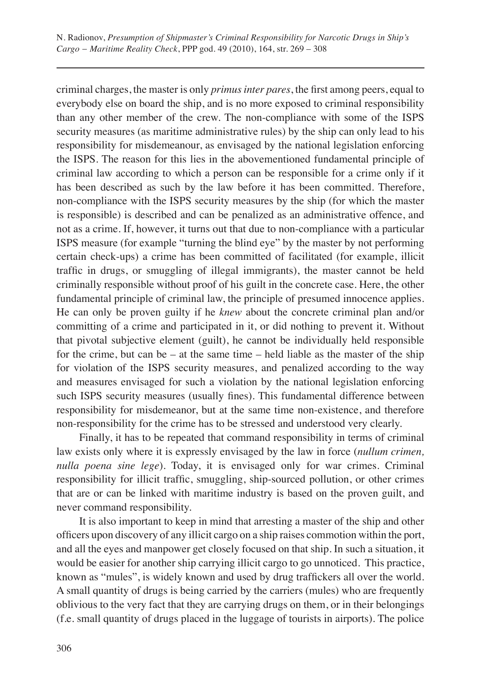criminal charges, the master is only *primus inter pares*, the first among peers, equal to everybody else on board the ship, and is no more exposed to criminal responsibility than any other member of the crew. The non-compliance with some of the ISPS security measures (as maritime administrative rules) by the ship can only lead to his responsibility for misdemeanour, as envisaged by the national legislation enforcing the ISPS. The reason for this lies in the abovementioned fundamental principle of criminal law according to which a person can be responsible for a crime only if it has been described as such by the law before it has been committed. Therefore, non-compliance with the ISPS security measures by the ship (for which the master is responsible) is described and can be penalized as an administrative offence, and not as a crime. If, however, it turns out that due to non-compliance with a particular ISPS measure (for example "turning the blind eye" by the master by not performing certain check-ups) a crime has been committed of facilitated (for example, illicit traffic in drugs, or smuggling of illegal immigrants), the master cannot be held criminally responsible without proof of his guilt in the concrete case. Here, the other fundamental principle of criminal law, the principle of presumed innocence applies. He can only be proven guilty if he *knew* about the concrete criminal plan and/or committing of a crime and participated in it, or did nothing to prevent it. Without that pivotal subjective element (guilt), he cannot be individually held responsible for the crime, but can be – at the same time – held liable as the master of the ship for violation of the ISPS security measures, and penalized according to the way and measures envisaged for such a violation by the national legislation enforcing such ISPS security measures (usually fines). This fundamental difference between responsibility for misdemeanor, but at the same time non-existence, and therefore non-responsibility for the crime has to be stressed and understood very clearly.

Finally, it has to be repeated that command responsibility in terms of criminal law exists only where it is expressly envisaged by the law in force (*nullum crimen, nulla poena sine lege*). Today, it is envisaged only for war crimes. Criminal responsibility for illicit traffic, smuggling, ship-sourced pollution, or other crimes that are or can be linked with maritime industry is based on the proven guilt, and never command responsibility.

It is also important to keep in mind that arresting a master of the ship and other officers upon discovery of any illicit cargo on a ship raises commotion within the port, and all the eyes and manpower get closely focused on that ship. In such a situation, it would be easier for another ship carrying illicit cargo to go unnoticed. This practice, known as "mules", is widely known and used by drug traffickers all over the world. A small quantity of drugs is being carried by the carriers (mules) who are frequently oblivious to the very fact that they are carrying drugs on them, or in their belongings (f.e. small quantity of drugs placed in the luggage of tourists in airports). The police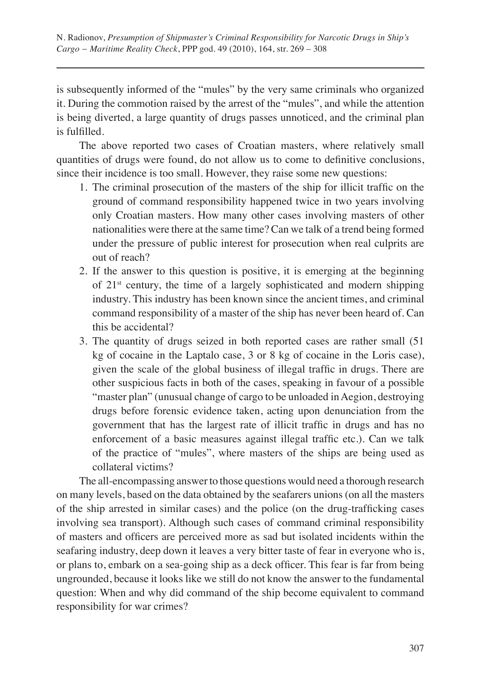is subsequently informed of the "mules" by the very same criminals who organized it. During the commotion raised by the arrest of the "mules", and while the attention is being diverted, a large quantity of drugs passes unnoticed, and the criminal plan is fulfilled.

The above reported two cases of Croatian masters, where relatively small quantities of drugs were found, do not allow us to come to definitive conclusions, since their incidence is too small. However, they raise some new questions:

- 1. The criminal prosecution of the masters of the ship for illicit traffic on the ground of command responsibility happened twice in two years involving only Croatian masters. How many other cases involving masters of other nationalities were there at the same time? Can we talk of a trend being formed under the pressure of public interest for prosecution when real culprits are out of reach?
- 2. If the answer to this question is positive, it is emerging at the beginning of 21st century, the time of a largely sophisticated and modern shipping industry. This industry has been known since the ancient times, and criminal command responsibility of a master of the ship has never been heard of. Can this be accidental?
- 3. The quantity of drugs seized in both reported cases are rather small (51 kg of cocaine in the Laptalo case, 3 or 8 kg of cocaine in the Loris case), given the scale of the global business of illegal traffic in drugs. There are other suspicious facts in both of the cases, speaking in favour of a possible "master plan" (unusual change of cargo to be unloaded in Aegion, destroying drugs before forensic evidence taken, acting upon denunciation from the government that has the largest rate of illicit traffic in drugs and has no enforcement of a basic measures against illegal traffic etc.). Can we talk of the practice of "mules", where masters of the ships are being used as collateral victims?

The all-encompassing answer to those questions would need a thorough research on many levels, based on the data obtained by the seafarers unions (on all the masters of the ship arrested in similar cases) and the police (on the drug-trafficking cases involving sea transport). Although such cases of command criminal responsibility of masters and officers are perceived more as sad but isolated incidents within the seafaring industry, deep down it leaves a very bitter taste of fear in everyone who is, or plans to, embark on a sea-going ship as a deck officer. This fear is far from being ungrounded, because it looks like we still do not know the answer to the fundamental question: When and why did command of the ship become equivalent to command responsibility for war crimes?